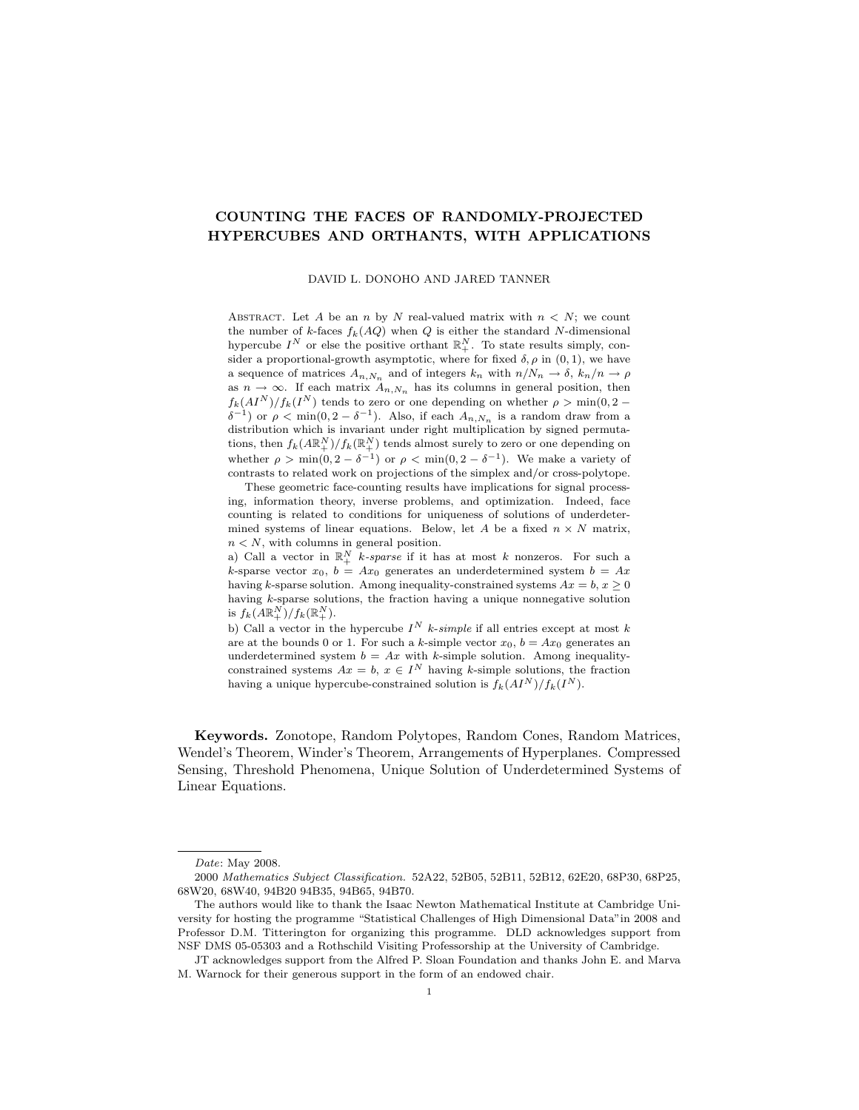# COUNTING THE FACES OF RANDOMLY-PROJECTED HYPERCUBES AND ORTHANTS, WITH APPLICATIONS

DAVID L. DONOHO AND JARED TANNER

ABSTRACT. Let A be an n by N real-valued matrix with  $n < N$ ; we count the number of k-faces  $f_k(AQ)$  when Q is either the standard N-dimensional hypercube  $I^N$  or else the positive orthant  $\mathbb{R}^N_+$ . To state results simply, consider a proportional-growth asymptotic, where for fixed  $\delta$ ,  $\rho$  in  $(0, 1)$ , we have a sequence of matrices  $A_{n,N_n}$  and of integers  $k_n$  with  $n/N_n \to \delta$ ,  $k_n/n \to \rho$ as  $n \to \infty$ . If each matrix  $A_{n,N_n}$  has its columns in general position, then  $f_k(AI^N)/f_k(I^N)$  tends to zero or one depending on whether  $\rho > \min(0, 2 \delta^{-1}$ ) or  $\rho < \min(0, 2 - \delta^{-1})$ . Also, if each  $A_{n,N_n}$  is a random draw from a distribution which is invariant under right multiplication by signed permutations, then  $f_k(A\mathbb{R}^N_+)/f_k(\mathbb{R}^N_+)$  tends almost surely to zero or one depending on whether  $\rho > \min(0, 2 - \delta^{-1})$  or  $\rho < \min(0, 2 - \delta^{-1})$ . We make a variety of contrasts to related work on projections of the simplex and/or cross-polytope.

These geometric face-counting results have implications for signal processing, information theory, inverse problems, and optimization. Indeed, face counting is related to conditions for uniqueness of solutions of underdetermined systems of linear equations. Below, let A be a fixed  $n \times N$  matrix,  $n < N$ , with columns in general position.

a) Call a vector in  $\mathbb{R}^N_+$  k-sparse if it has at most k nonzeros. For such a k-sparse vector  $x_0$ ,  $b = Ax_0$  generates an underdetermined system  $b = Ax$ having k-sparse solution. Among inequality-constrained systems  $Ax = b, x \ge 0$ having k-sparse solutions, the fraction having a unique nonnegative solution is  $f_k(A\mathbb{R}^N_+)/f_k(\mathbb{R}^N_+).$ 

b) Call a vector in the hypercube  $I^N$  k-simple if all entries except at most k are at the bounds 0 or 1. For such a k-simple vector  $x_0$ ,  $b = Ax_0$  generates an underdetermined system  $b = Ax$  with k-simple solution. Among inequalityconstrained systems  $Ax = b$ ,  $x \in I^N$  having k-simple solutions, the fraction having a unique hypercube-constrained solution is  $f_k(AI^N)/f_k(I^N)$ .

Keywords. Zonotope, Random Polytopes, Random Cones, Random Matrices, Wendel's Theorem, Winder's Theorem, Arrangements of Hyperplanes. Compressed Sensing, Threshold Phenomena, Unique Solution of Underdetermined Systems of Linear Equations.

Date: May 2008.

<sup>2000</sup> Mathematics Subject Classification. 52A22, 52B05, 52B11, 52B12, 62E20, 68P30, 68P25, 68W20, 68W40, 94B20 94B35, 94B65, 94B70.

The authors would like to thank the Isaac Newton Mathematical Institute at Cambridge University for hosting the programme "Statistical Challenges of High Dimensional Data"in 2008 and Professor D.M. Titterington for organizing this programme. DLD acknowledges support from NSF DMS 05-05303 and a Rothschild Visiting Professorship at the University of Cambridge.

JT acknowledges support from the Alfred P. Sloan Foundation and thanks John E. and Marva M. Warnock for their generous support in the form of an endowed chair.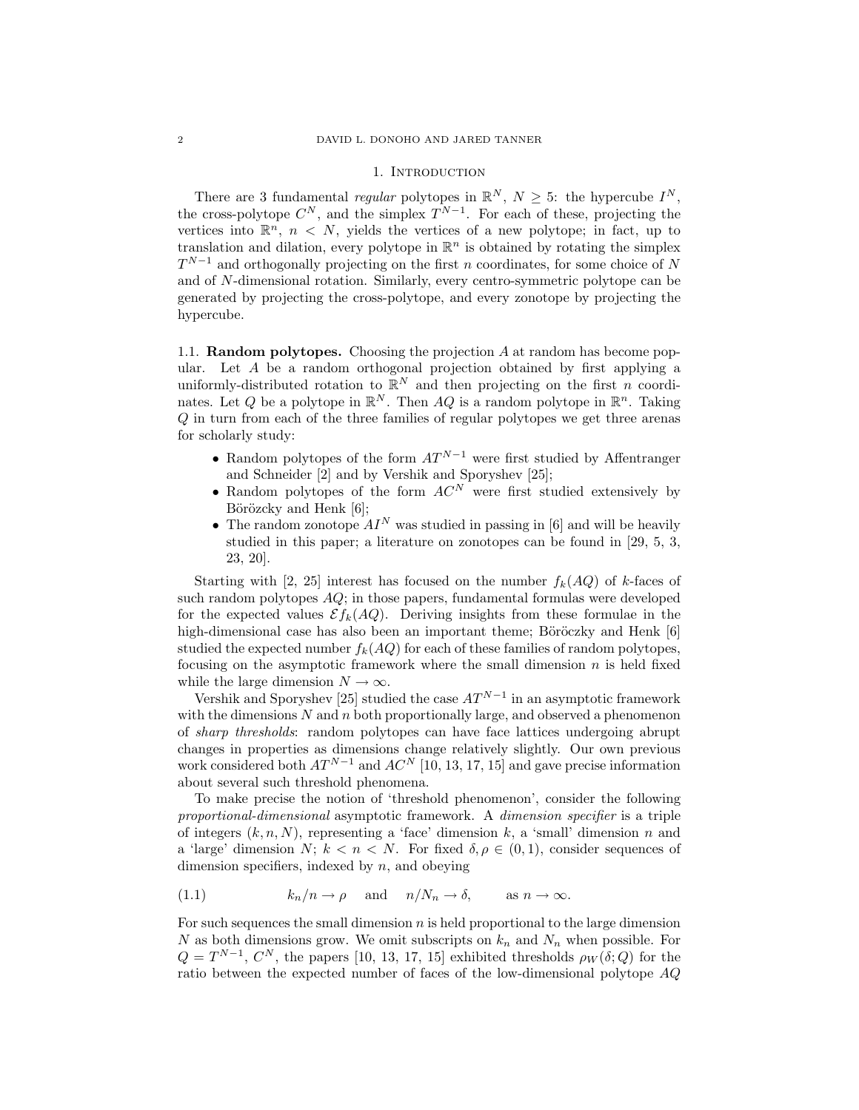### 1. INTRODUCTION

There are 3 fundamental *regular* polytopes in  $\mathbb{R}^N$ ,  $N \geq 5$ : the hypercube  $I^N$ , the cross-polytope  $C^N$ , and the simplex  $T^{N-1}$ . For each of these, projecting the vertices into  $\mathbb{R}^n$ ,  $n < N$ , yields the vertices of a new polytope; in fact, up to translation and dilation, every polytope in  $\mathbb{R}^n$  is obtained by rotating the simplex  $T^{N-1}$  and orthogonally projecting on the first n coordinates, for some choice of N and of N-dimensional rotation. Similarly, every centro-symmetric polytope can be generated by projecting the cross-polytope, and every zonotope by projecting the hypercube.

1.1. Random polytopes. Choosing the projection A at random has become popular. Let A be a random orthogonal projection obtained by first applying a uniformly-distributed rotation to  $\mathbb{R}^N$  and then projecting on the first *n* coordinates. Let Q be a polytope in  $\mathbb{R}^N$ . Then AQ is a random polytope in  $\mathbb{R}^n$ . Taking Q in turn from each of the three families of regular polytopes we get three arenas for scholarly study:

- Random polytopes of the form  $AT^{N-1}$  were first studied by Affentranger and Schneider [2] and by Vershik and Sporyshev [25];
- Random polytopes of the form  $AC^N$  were first studied extensively by Börözcky and Henk [6];
- The random zonotope  $AI^N$  was studied in passing in [6] and will be heavily studied in this paper; a literature on zonotopes can be found in [29, 5, 3, 23, 20].

Starting with [2, 25] interest has focused on the number  $f_k(AQ)$  of k-faces of such random polytopes  $AQ$ ; in those papers, fundamental formulas were developed for the expected values  $\mathcal{E}f_k(AQ)$ . Deriving insights from these formulae in the high-dimensional case has also been an important theme; Böröczky and Henk [6] studied the expected number  $f_k(AQ)$  for each of these families of random polytopes, focusing on the asymptotic framework where the small dimension  $n$  is held fixed while the large dimension  $N \to \infty$ .

Vershik and Sporyshev [25] studied the case  $AT^{N-1}$  in an asymptotic framework with the dimensions  $N$  and  $n$  both proportionally large, and observed a phenomenon of sharp thresholds: random polytopes can have face lattices undergoing abrupt changes in properties as dimensions change relatively slightly. Our own previous work considered both  $AT^{N-1}$  and  $AC^N$  [10, 13, 17, 15] and gave precise information about several such threshold phenomena.

To make precise the notion of 'threshold phenomenon', consider the following proportional-dimensional asymptotic framework. A dimension specifier is a triple of integers  $(k, n, N)$ , representing a 'face' dimension k, a 'small' dimension n and a 'large' dimension N;  $k < n < N$ . For fixed  $\delta, \rho \in (0, 1)$ , consider sequences of dimension specifiers, indexed by  $n$ , and obeying

(1.1) 
$$
k_n/n \to \rho
$$
 and  $n/N_n \to \delta$ , as  $n \to \infty$ .

For such sequences the small dimension  $n$  is held proportional to the large dimension N as both dimensions grow. We omit subscripts on  $k_n$  and  $N_n$  when possible. For  $Q = T^{N-1}$ ,  $C^N$ , the papers [10, 13, 17, 15] exhibited thresholds  $\rho_W(\delta; Q)$  for the ratio between the expected number of faces of the low-dimensional polytope AQ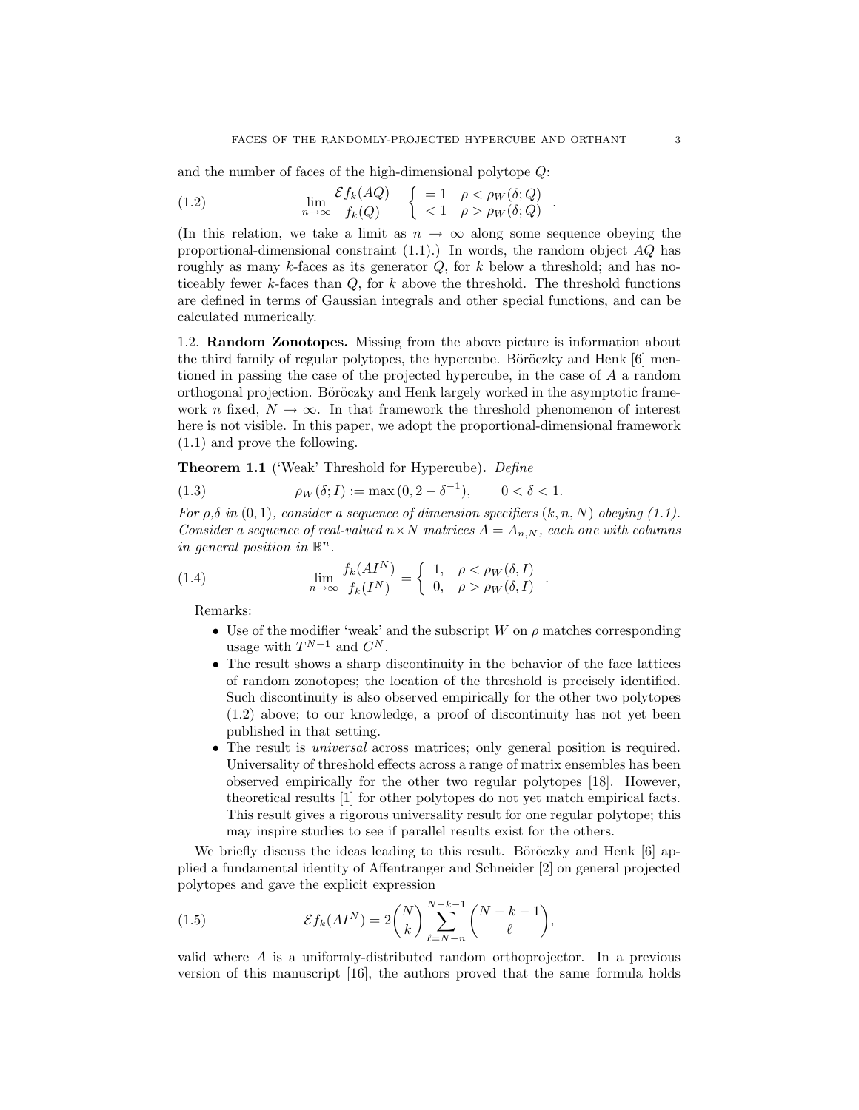and the number of faces of the high-dimensional polytope Q:

(1.2) 
$$
\lim_{n \to \infty} \frac{\mathcal{E}f_k(AQ)}{f_k(Q)} \quad \begin{cases} = 1 & \rho < \rho_W(\delta; Q) \\ < 1 & \rho > \rho_W(\delta; Q) \end{cases}
$$

(In this relation, we take a limit as  $n \to \infty$  along some sequence obeying the proportional-dimensional constraint  $(1.1)$ .) In words, the random object  $AQ$  has roughly as many k-faces as its generator  $Q$ , for k below a threshold; and has noticeably fewer  $k$ -faces than  $Q$ , for  $k$  above the threshold. The threshold functions are defined in terms of Gaussian integrals and other special functions, and can be calculated numerically.

1.2. Random Zonotopes. Missing from the above picture is information about the third family of regular polytopes, the hypercube. Böröczky and Henk  $[6]$  mentioned in passing the case of the projected hypercube, in the case of A a random orthogonal projection. Böröczky and Henk largely worked in the asymptotic framework n fixed,  $N \to \infty$ . In that framework the threshold phenomenon of interest here is not visible. In this paper, we adopt the proportional-dimensional framework (1.1) and prove the following.

Theorem 1.1 ('Weak' Threshold for Hypercube). Define

(1.3) 
$$
\rho_W(\delta; I) := \max(0, 2 - \delta^{-1}), \qquad 0 < \delta < 1.
$$

For  $\rho, \delta$  in  $(0, 1)$ , consider a sequence of dimension specifiers  $(k, n, N)$  obeying  $(1.1)$ . Consider a sequence of real-valued  $n \times N$  matrices  $A = A_{n,N}$ , each one with columns in general position in  $\mathbb{R}^n$ .

(1.4) 
$$
\lim_{n \to \infty} \frac{f_k(AI^N)}{f_k(I^N)} = \begin{cases} 1, & \rho < \rho_W(\delta, I) \\ 0, & \rho > \rho_W(\delta, I) \end{cases}
$$

Remarks:

- Use of the modifier 'weak' and the subscript  $W$  on  $\rho$  matches corresponding usage with  $T^{N-1}$  and  $C^N$ .
- The result shows a sharp discontinuity in the behavior of the face lattices of random zonotopes; the location of the threshold is precisely identified. Such discontinuity is also observed empirically for the other two polytopes (1.2) above; to our knowledge, a proof of discontinuity has not yet been published in that setting.
- The result is universal across matrices; only general position is required. Universality of threshold effects across a range of matrix ensembles has been observed empirically for the other two regular polytopes [18]. However, theoretical results [1] for other polytopes do not yet match empirical facts. This result gives a rigorous universality result for one regular polytope; this may inspire studies to see if parallel results exist for the others.

We briefly discuss the ideas leading to this result. Böröczky and Henk  $[6]$  applied a fundamental identity of Affentranger and Schneider [2] on general projected polytopes and gave the explicit expression

(1.5) 
$$
\mathcal{E}f_k(AI^N) = 2\binom{N}{k} \sum_{\ell=N-n}^{N-k-1} \binom{N-k-1}{\ell},
$$

valid where A is a uniformly-distributed random orthoprojector. In a previous version of this manuscript [16], the authors proved that the same formula holds

.

.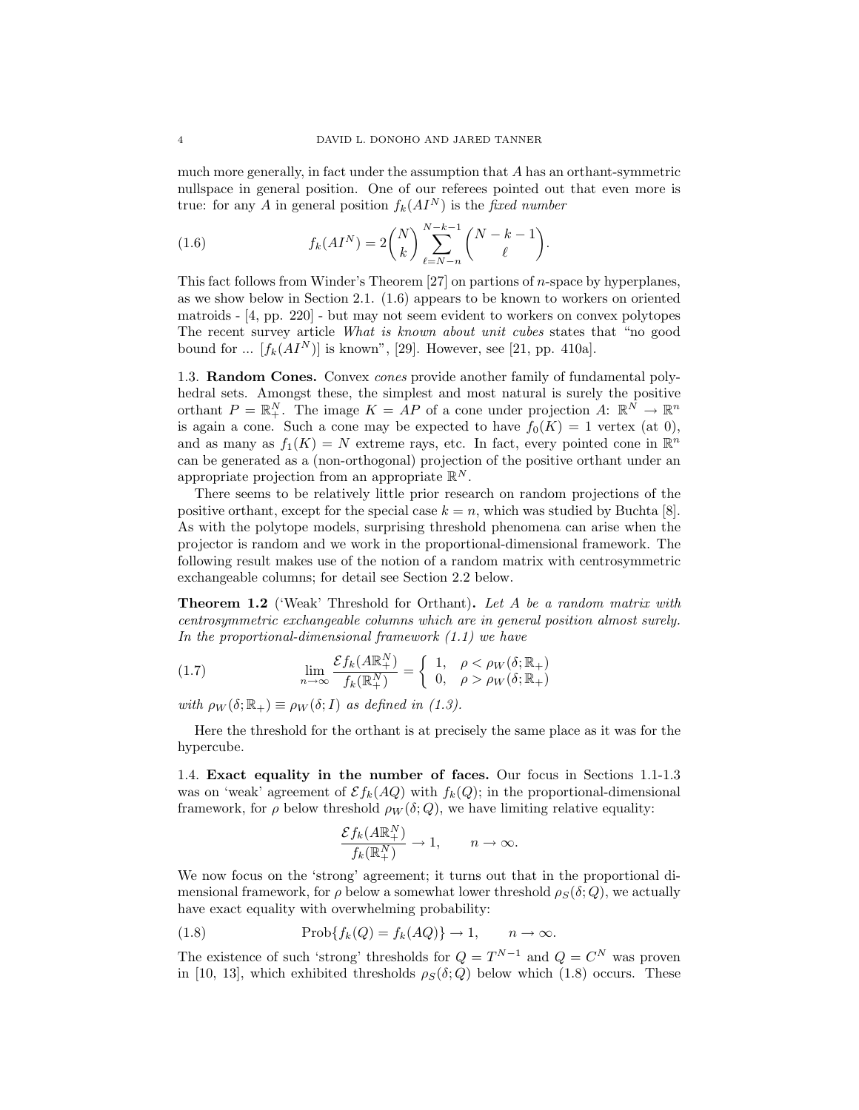much more generally, in fact under the assumption that  $A$  has an orthant-symmetric nullspace in general position. One of our referees pointed out that even more is true: for any A in general position  $f_k(AI^N)$  is the fixed number

(1.6) 
$$
f_k(AI^N) = 2\binom{N}{k} \sum_{\ell=N-n}^{N-k-1} \binom{N-k-1}{\ell}.
$$

This fact follows from Winder's Theorem  $[27]$  on partions of *n*-space by hyperplanes, as we show below in Section 2.1. (1.6) appears to be known to workers on oriented matroids - [4, pp. 220] - but may not seem evident to workers on convex polytopes The recent survey article What is known about unit cubes states that "no good bound for ...  $[f_k(AI^N)]$  is known", [29]. However, see [21, pp. 410a].

1.3. Random Cones. Convex cones provide another family of fundamental polyhedral sets. Amongst these, the simplest and most natural is surely the positive orthant  $P = \mathbb{R}_{+}^{N}$ . The image  $K = AP$  of a cone under projection  $A: \mathbb{R}^{N} \to \mathbb{R}^{n}$ is again a cone. Such a cone may be expected to have  $f_0(K) = 1$  vertex (at 0), and as many as  $f_1(K) = N$  extreme rays, etc. In fact, every pointed cone in  $\mathbb{R}^n$ can be generated as a (non-orthogonal) projection of the positive orthant under an appropriate projection from an appropriate  $\mathbb{R}^N$ .

There seems to be relatively little prior research on random projections of the positive orthant, except for the special case  $k = n$ , which was studied by Buchta [8]. As with the polytope models, surprising threshold phenomena can arise when the projector is random and we work in the proportional-dimensional framework. The following result makes use of the notion of a random matrix with centrosymmetric exchangeable columns; for detail see Section 2.2 below.

Theorem 1.2 ('Weak' Threshold for Orthant). Let A be a random matrix with centrosymmetric exchangeable columns which are in general position almost surely. In the proportional-dimensional framework (1.1) we have

(1.7) 
$$
\lim_{n \to \infty} \frac{\mathcal{E}f_k(A\mathbb{R}^N_+)}{f_k(\mathbb{R}^N_+)} = \begin{cases} 1, & \rho < \rho_W(\delta; \mathbb{R}_+) \\ 0, & \rho > \rho_W(\delta; \mathbb{R}_+) \end{cases}
$$

with  $\rho_W(\delta; \mathbb{R}_+) \equiv \rho_W(\delta; I)$  as defined in (1.3).

Here the threshold for the orthant is at precisely the same place as it was for the hypercube.

1.4. Exact equality in the number of faces. Our focus in Sections 1.1-1.3 was on 'weak' agreement of  $\mathcal{E}f_k(AQ)$  with  $f_k(Q)$ ; in the proportional-dimensional framework, for  $\rho$  below threshold  $\rho_W(\delta; Q)$ , we have limiting relative equality:

$$
\frac{\mathcal{E}f_k(A\mathbb{R}_+^N)}{f_k(\mathbb{R}_+^N)} \to 1, \qquad n \to \infty.
$$

We now focus on the 'strong' agreement; it turns out that in the proportional dimensional framework, for  $\rho$  below a somewhat lower threshold  $\rho_S(\delta; Q)$ , we actually have exact equality with overwhelming probability:

(1.8) 
$$
\text{Prob}\{f_k(Q) = f_k(AQ)\} \to 1, \qquad n \to \infty.
$$

The existence of such 'strong' thresholds for  $Q = T^{N-1}$  and  $Q = C^N$  was proven in [10, 13], which exhibited thresholds  $\rho_S(\delta; Q)$  below which (1.8) occurs. These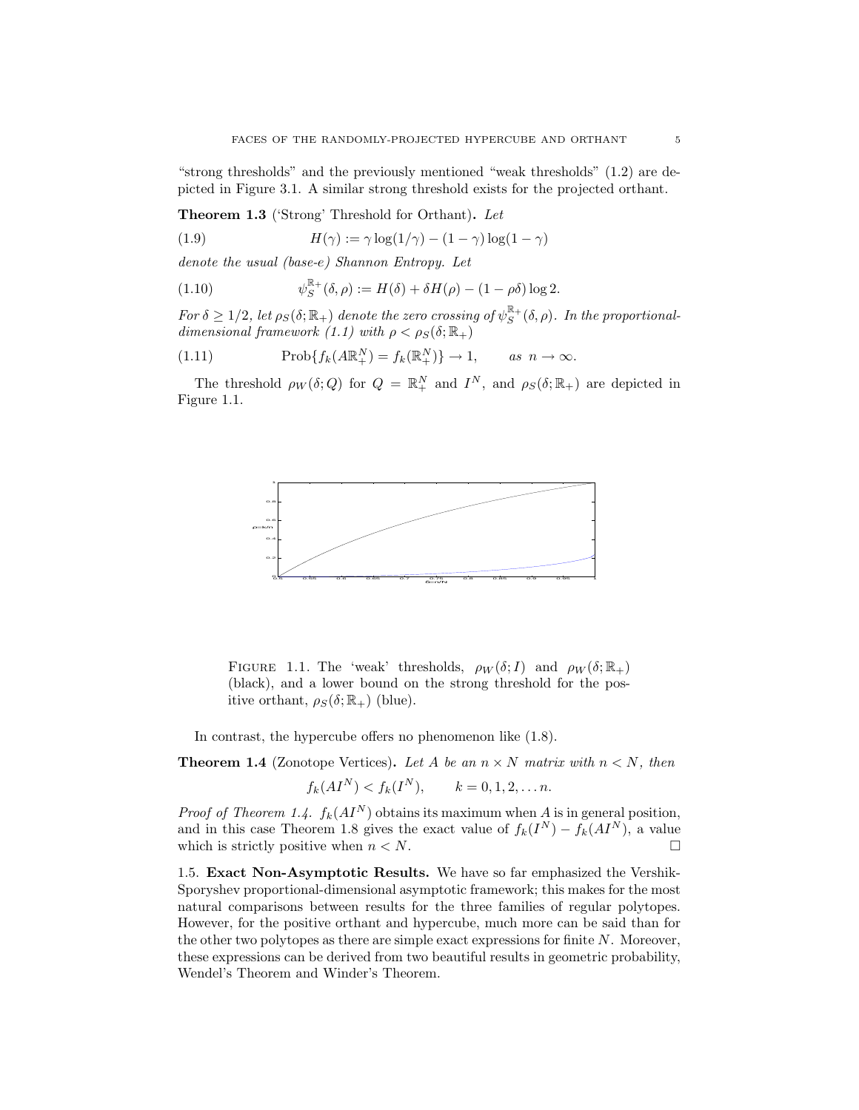"strong thresholds" and the previously mentioned "weak thresholds" (1.2) are depicted in Figure 3.1. A similar strong threshold exists for the projected orthant.

Theorem 1.3 ('Strong' Threshold for Orthant). Let

(1.9) 
$$
H(\gamma) := \gamma \log(1/\gamma) - (1 - \gamma) \log(1 - \gamma)
$$

denote the usual (base-e) Shannon Entropy. Let

(1.10) 
$$
\psi_S^{\mathbb{R}_+}(\delta,\rho) := H(\delta) + \delta H(\rho) - (1-\rho\delta)\log 2.
$$

For  $\delta \geq 1/2$ , let  $\rho_S(\delta; \mathbb{R}_+)$  denote the zero crossing of  $\psi_S^{\mathbb{R}_+}(\delta, \rho)$ . In the proportionaldimensional framework (1.1) with  $\rho < \rho_S(\delta; \mathbb{R}_+)$ 

(1.11) 
$$
\text{Prob}\{f_k(A\mathbb{R}^N_+) = f_k(\mathbb{R}^N_+)\} \to 1, \quad \text{as } n \to \infty.
$$

The threshold  $\rho_W(\delta; Q)$  for  $Q = \mathbb{R}^N_+$  and  $I^N$ , and  $\rho_S(\delta; \mathbb{R}_+)$  are depicted in Figure 1.1.



FIGURE 1.1. The 'weak' thresholds,  $\rho_W(\delta; I)$  and  $\rho_W(\delta; \mathbb{R}_+)$ (black), and a lower bound on the strong threshold for the positive orthant,  $\rho_S(\delta; \mathbb{R}_+)$  (blue).

In contrast, the hypercube offers no phenomenon like (1.8).

**Theorem 1.4** (Zonotope Vertices). Let A be an  $n \times N$  matrix with  $n \leq N$ , then

$$
f_k(AI^N) < f_k(I^N), \quad k = 0, 1, 2, \ldots n.
$$

*Proof of Theorem 1.4.*  $f_k(AI^N)$  obtains its maximum when A is in general position, and in this case Theorem 1.8 gives the exact value of  $f_k(I^N) - f_k(AI^N)$ , a value which is strictly positive when  $n < N$ .

1.5. Exact Non-Asymptotic Results. We have so far emphasized the Vershik-Sporyshev proportional-dimensional asymptotic framework; this makes for the most natural comparisons between results for the three families of regular polytopes. However, for the positive orthant and hypercube, much more can be said than for the other two polytopes as there are simple exact expressions for finite  $N$ . Moreover, these expressions can be derived from two beautiful results in geometric probability, Wendel's Theorem and Winder's Theorem.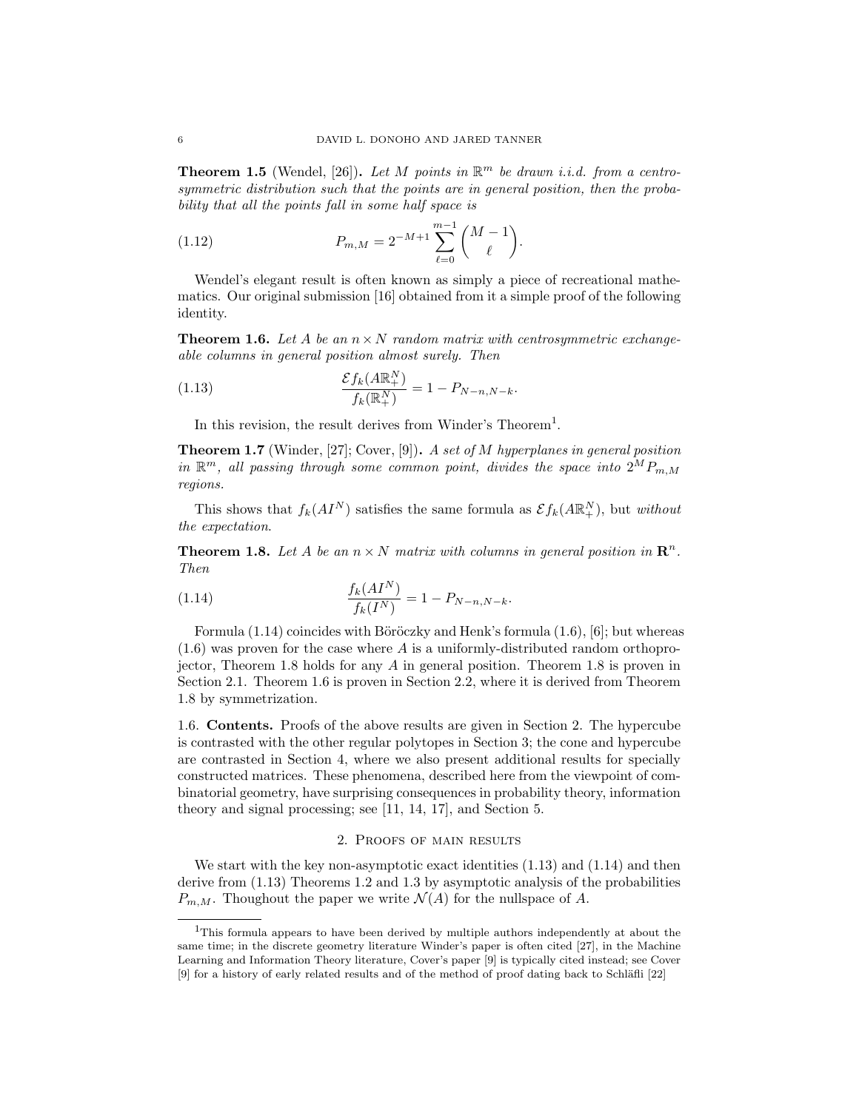**Theorem 1.5** (Wendel, [26]). Let M points in  $\mathbb{R}^m$  be drawn i.i.d. from a centrosymmetric distribution such that the points are in general position, then the probability that all the points fall in some half space is

(1.12) 
$$
P_{m,M} = 2^{-M+1} \sum_{\ell=0}^{m-1} {M-1 \choose \ell}.
$$

Wendel's elegant result is often known as simply a piece of recreational mathematics. Our original submission [16] obtained from it a simple proof of the following identity.

**Theorem 1.6.** Let A be an  $n \times N$  random matrix with centrosymmetric exchangeable columns in general position almost surely. Then

(1.13) 
$$
\frac{\mathcal{E}f_k(A\mathbb{R}^N_+)}{f_k(\mathbb{R}^N_+)} = 1 - P_{N-n,N-k}.
$$

In this revision, the result derives from Winder's Theorem<sup>1</sup>.

**Theorem 1.7** (Winder, [27]; Cover, [9]). A set of M hyperplanes in general position in  $\mathbb{R}^m$ , all passing through some common point, divides the space into  $2^M P_{m,M}$ regions.

This shows that  $f_k(AI^N)$  satisfies the same formula as  $\mathcal{E} f_k(A\mathbb{R}^N_+)$ , but without the expectation.

**Theorem 1.8.** Let A be an  $n \times N$  matrix with columns in general position in  $\mathbb{R}^n$ . Then

(1.14) 
$$
\frac{f_k(AI^N)}{f_k(I^N)} = 1 - P_{N-n,N-k}.
$$

Formula  $(1.14)$  coincides with Böröczky and Henk's formula  $(1.6)$ ,  $[6]$ ; but whereas  $(1.6)$  was proven for the case where A is a uniformly-distributed random orthoprojector, Theorem 1.8 holds for any A in general position. Theorem 1.8 is proven in Section 2.1. Theorem 1.6 is proven in Section 2.2, where it is derived from Theorem 1.8 by symmetrization.

1.6. Contents. Proofs of the above results are given in Section 2. The hypercube is contrasted with the other regular polytopes in Section 3; the cone and hypercube are contrasted in Section 4, where we also present additional results for specially constructed matrices. These phenomena, described here from the viewpoint of combinatorial geometry, have surprising consequences in probability theory, information theory and signal processing; see [11, 14, 17], and Section 5.

### 2. Proofs of main results

We start with the key non-asymptotic exact identities  $(1.13)$  and  $(1.14)$  and then derive from (1.13) Theorems 1.2 and 1.3 by asymptotic analysis of the probabilities  $P_{m,M}$ . Thoughout the paper we write  $\mathcal{N}(A)$  for the nullspace of A.

<sup>1</sup>This formula appears to have been derived by multiple authors independently at about the same time; in the discrete geometry literature Winder's paper is often cited [27], in the Machine Learning and Information Theory literature, Cover's paper [9] is typically cited instead; see Cover  $[9]$  for a history of early related results and of the method of proof dating back to Schläfli  $[22]$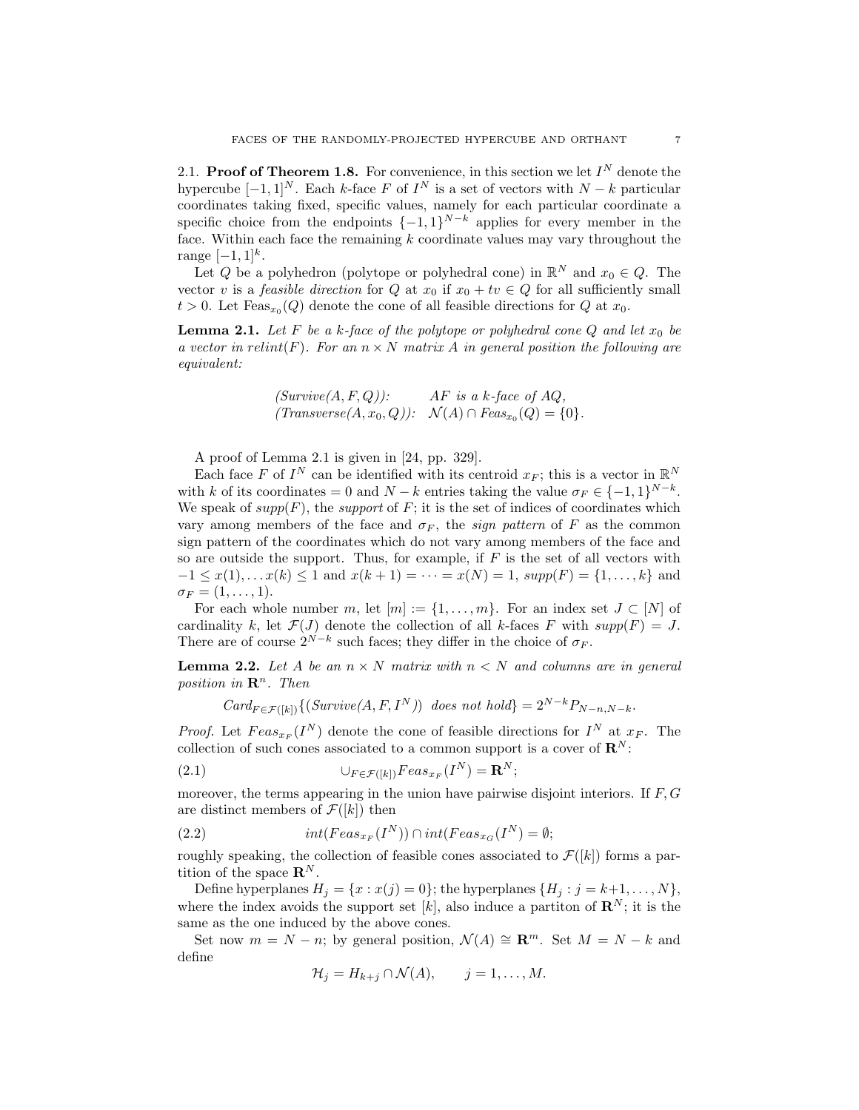2.1. Proof of Theorem 1.8. For convenience, in this section we let  $I^N$  denote the hypercube  $[-1, 1]^N$ . Each k-face F of  $I^N$  is a set of vectors with  $N - k$  particular coordinates taking fixed, specific values, namely for each particular coordinate a specific choice from the endpoints  $\{-1,1\}^{N-k}$  applies for every member in the face. Within each face the remaining  $k$  coordinate values may vary throughout the range  $[-1, 1]^{k}$ .

Let Q be a polyhedron (polytope or polyhedral cone) in  $\mathbb{R}^N$  and  $x_0 \in Q$ . The vector v is a *feasible direction* for Q at  $x_0$  if  $x_0 + tv \in Q$  for all sufficiently small  $t > 0$ . Let  $F\text{eas}_{x_0}(Q)$  denote the cone of all feasible directions for  $Q$  at  $x_0$ .

**Lemma 2.1.** Let F be a k-face of the polytope or polyhedral cone Q and let  $x_0$  be a vector in relint(F). For an  $n \times N$  matrix A in general position the following are equivalent:

$$
(Survive(A, F, Q)): \tAF is a k-face of AQ,(Transverse(A, x0, Q)): \t N(A) \cap Feas_{x0}(Q) = \{0\}.
$$

A proof of Lemma 2.1 is given in [24, pp. 329].

Each face F of  $I^N$  can be identified with its centroid  $x_F$ ; this is a vector in  $\mathbb{R}^N$ with k of its coordinates = 0 and  $N - k$  entries taking the value  $\sigma_F \in \{-1, 1\}^{N-k}$ . We speak of  $supp(F)$ , the *support* of F; it is the set of indices of coordinates which vary among members of the face and  $\sigma_F$ , the *sign pattern* of F as the common sign pattern of the coordinates which do not vary among members of the face and so are outside the support. Thus, for example, if  $F$  is the set of all vectors with  $-1 \leq x(1), \ldots x(k) \leq 1$  and  $x(k+1) = \cdots = x(N) = 1$ ,  $supp(F) = \{1, \ldots, k\}$  and  $\sigma_F = (1, \ldots, 1).$ 

For each whole number m, let  $[m] := \{1, \ldots, m\}$ . For an index set  $J \subset [N]$  of cardinality k, let  $\mathcal{F}(J)$  denote the collection of all k-faces F with  $supp(F) = J$ . There are of course  $2^{N-k}$  such faces; they differ in the choice of  $\sigma_F$ .

**Lemma 2.2.** Let A be an  $n \times N$  matrix with  $n \times N$  and columns are in general position in  $\mathbb{R}^n$ . Then

 $Card_{F \in \mathcal{F}([k])}\{(Survive(A, F, I^N)) \text{ does not hold}\} = 2^{N-k}P_{N-n,N-k}.$ 

*Proof.* Let  $Feas_{x_F}(I^N)$  denote the cone of feasible directions for  $I^N$  at  $x_F$ . The collection of such cones associated to a common support is a cover of  $\mathbb{R}^N$ :

(2.1) 
$$
\bigcup_{F \in \mathcal{F}([k])} Feas_{x_F}(I^N) = \mathbf{R}^N;
$$

moreover, the terms appearing in the union have pairwise disjoint interiors. If  $F, G$ are distinct members of  $\mathcal{F}([k])$  then

(2.2) 
$$
int(Feas_{x_F}(I^N)) \cap int(Feas_{x_G}(I^N) = \emptyset;
$$

roughly speaking, the collection of feasible cones associated to  $\mathcal{F}([k])$  forms a partition of the space  $\mathbf{R}^{N}$ .

Define hyperplanes  $H_j = \{x : x(j) = 0\}$ ; the hyperplanes  $\{H_j : j = k+1, \ldots, N\}$ , where the index avoids the support set  $[k]$ , also induce a partiton of  $\mathbb{R}^N$ ; it is the same as the one induced by the above cones.

Set now  $m = N - n$ ; by general position,  $\mathcal{N}(A) \cong \mathbb{R}^m$ . Set  $M = N - k$  and define

$$
\mathcal{H}_j = H_{k+j} \cap \mathcal{N}(A), \qquad j = 1, \dots, M.
$$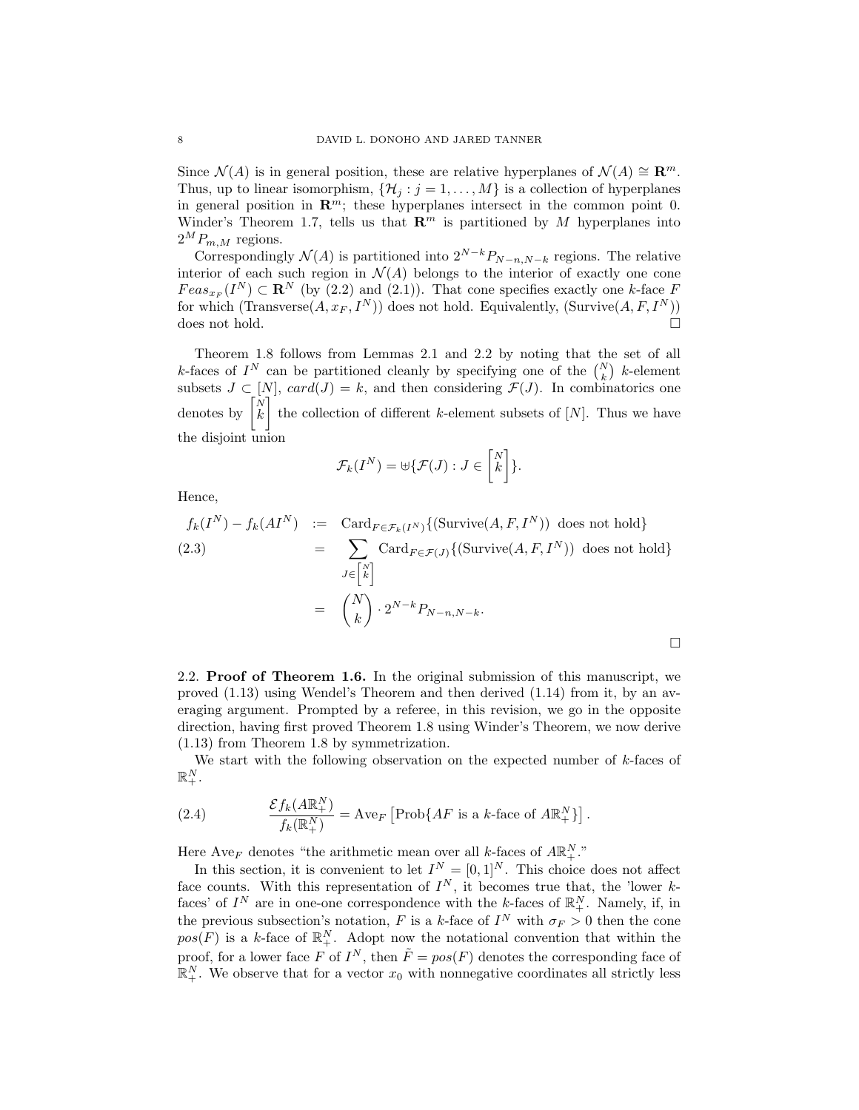Since  $\mathcal{N}(A)$  is in general position, these are relative hyperplanes of  $\mathcal{N}(A) \cong \mathbb{R}^m$ . Thus, up to linear isomorphism,  $\{\mathcal{H}_j : j = 1, ..., M\}$  is a collection of hyperplanes in general position in  $\mathbb{R}^m$ ; these hyperplanes intersect in the common point 0. Winder's Theorem 1.7, tells us that  $\mathbb{R}^m$  is partitioned by M hyperplanes into  $2^M P_{m,M}$  regions.

Correspondingly  $\mathcal{N}(A)$  is partitioned into  $2^{N-k}P_{N-n,N-k}$  regions. The relative interior of each such region in  $\mathcal{N}(A)$  belongs to the interior of exactly one cone  $Feas_{x_F}(I^N) \subset \mathbf{R}^N$  (by (2.2) and (2.1)). That cone specifies exactly one k-face F for which (Transverse $(A, x_F, I^N)$ ) does not hold. Equivalently, (Survive $(A, F, I^N)$ ) does not hold.  $\square$ 

Theorem 1.8 follows from Lemmas 2.1 and 2.2 by noting that the set of all k-faces of  $I^N$  can be partitioned cleanly by specifying one of the  $\binom{N}{k}$  k-element subsets  $J \subset [N]$ ,  $card(J) = k$ , and then considering  $\mathcal{F}(J)$ . In combinatorics one denotes by  $\begin{bmatrix} N \\ k \end{bmatrix}$  the collection of different k-element subsets of  $[N]$ . Thus we have the disjoint union

$$
\mathcal{F}_k(I^N) = \biguplus \{ \mathcal{F}(J) : J \in \begin{bmatrix} N \\ k \end{bmatrix} \}.
$$

Hence,

$$
f_k(I^N) - f_k(AI^N) := \text{Card}_{F \in \mathcal{F}_k(I^N)} \{ (\text{Survive}(A, F, I^N)) \text{ does not hold} \}
$$
  
(2.3)  

$$
= \sum_{J \in \binom{N}{k}} \text{Card}_{F \in \mathcal{F}(J)} \{ (\text{Survive}(A, F, I^N)) \text{ does not hold} \}
$$

$$
= \binom{N}{k} \cdot 2^{N-k} P_{N-n, N-k}.
$$

2.2. Proof of Theorem 1.6. In the original submission of this manuscript, we proved (1.13) using Wendel's Theorem and then derived (1.14) from it, by an averaging argument. Prompted by a referee, in this revision, we go in the opposite direction, having first proved Theorem 1.8 using Winder's Theorem, we now derive (1.13) from Theorem 1.8 by symmetrization.

We start with the following observation on the expected number of k-faces of  $\mathbb{R}^N_+$  .

(2.4) 
$$
\frac{\mathcal{E}f_k(A\mathbb{R}^N_+)}{f_k(\mathbb{R}^N_+)} = \text{Ave}_F \left[ \text{Prob}\{AF \text{ is a } k\text{-face of } A\mathbb{R}^N_+ \} \right].
$$

Here Ave<sub>F</sub> denotes "the arithmetic mean over all k-faces of  $A\mathbb{R}^N_+$ ."

In this section, it is convenient to let  $I^N = [0,1]^N$ . This choice does not affect face counts. With this representation of  $I^N$ , it becomes true that, the 'lower kfaces' of  $I^N$  are in one-one correspondence with the k-faces of  $\mathbb{R}^N_+$ . Namely, if, in the previous subsection's notation, F is a k-face of  $I^N$  with  $\sigma_F > 0$  then the cone  $pos(F)$  is a k-face of  $\mathbb{R}^N_+$ . Adopt now the notational convention that within the proof, for a lower face F of  $I^N$ , then  $\tilde{F} = pos(F)$  denotes the corresponding face of  $\mathbb{R}^N_+$ . We observe that for a vector  $x_0$  with nonnegative coordinates all strictly less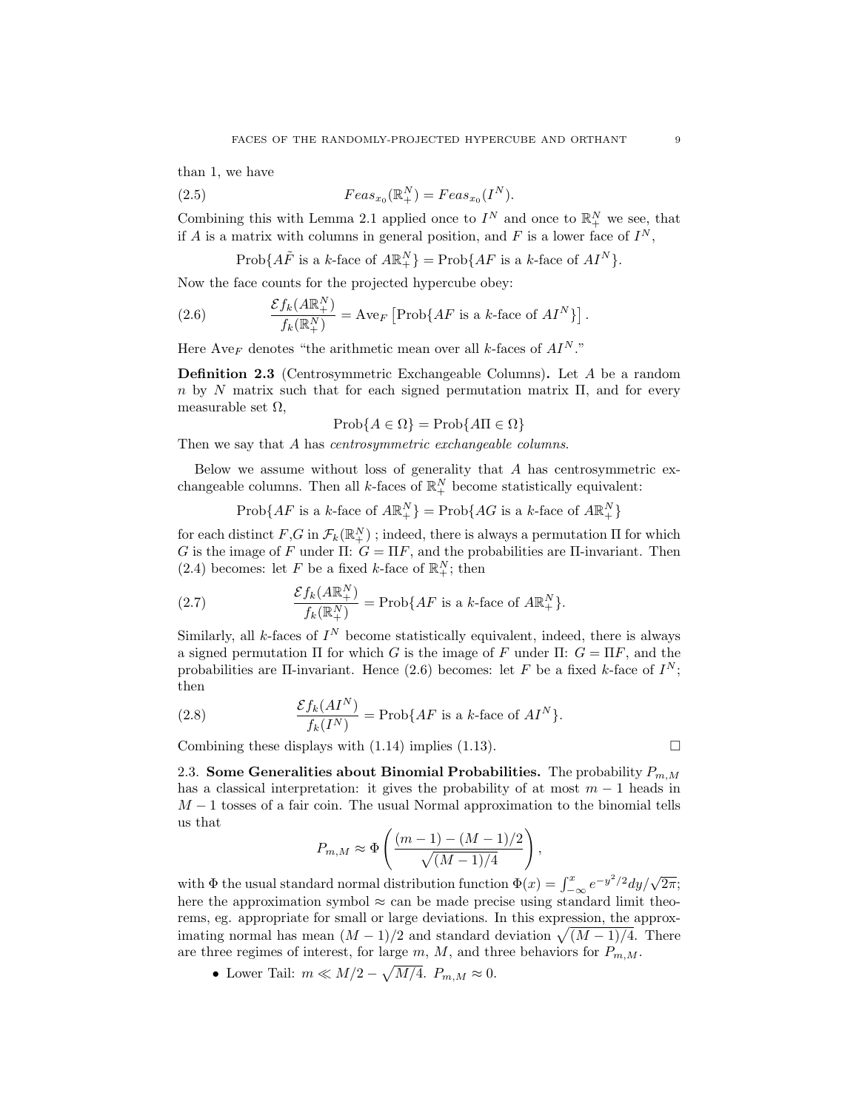than 1, we have

(2.5) 
$$
Feas_{x_0}(\mathbb{R}^N_+) = Feas_{x_0}(I^N).
$$

Combining this with Lemma 2.1 applied once to  $I^N$  and once to  $\mathbb{R}^N_+$  we see, that if A is a matrix with columns in general position, and F is a lower face of  $I^N$ ,

$$
Prob\{A\tilde{F} \text{ is a } k\text{-face of } A\mathbb{R}^N_+\} = Prob\{AF \text{ is a } k\text{-face of } AI^N\}.
$$

Now the face counts for the projected hypercube obey:

(2.6) 
$$
\frac{\mathcal{E}f_k(A\mathbb{R}^N_+)}{f_k(\mathbb{R}^N_+)} = \text{Ave}_F \left[ \text{Prob}\{AF \text{ is a } k\text{-face of } AI^N \} \right].
$$

Here Ave<sub>F</sub> denotes "the arithmetic mean over all k-faces of  $AI<sup>N</sup>$ ."

Definition 2.3 (Centrosymmetric Exchangeable Columns). Let A be a random n by N matrix such that for each signed permutation matrix  $\Pi$ , and for every measurable set  $\Omega$ ,

$$
Prob\{A \in \Omega\} = Prob\{A\Pi \in \Omega\}
$$

Then we say that A has *centrosymmetric* exchangeable columns.

Below we assume without loss of generality that  $A$  has centrosymmetric exchangeable columns. Then all  $k$ -faces of  $\mathbb{R}^N_+$  become statistically equivalent:

$$
Prob\{AF \text{ is a } k\text{-face of } A\mathbb{R}^N_+\} = Prob\{AG \text{ is a } k\text{-face of } A\mathbb{R}^N_+\}
$$

for each distinct  $F, G$  in  $\mathcal{F}_k(\mathbb{R}^N_+)$ ; indeed, there is always a permutation  $\Pi$  for which G is the image of F under  $\Pi: G = \Pi F$ , and the probabilities are  $\Pi$ -invariant. Then (2.4) becomes: let F be a fixed k-face of  $\mathbb{R}^N_+$ ; then

(2.7) 
$$
\frac{\mathcal{E}f_k(A\mathbb{R}^N_+)}{f_k(\mathbb{R}^N_+)} = \text{Prob}\{AF \text{ is a } k\text{-face of } A\mathbb{R}^N_+\}.
$$

Similarly, all k-faces of  $I^N$  become statistically equivalent, indeed, there is always a signed permutation  $\Pi$  for which G is the image of F under  $\Pi$ :  $G = \Pi F$ , and the probabilities are II-invariant. Hence (2.6) becomes: let F be a fixed k-face of  $I^N$ ; then

(2.8) 
$$
\frac{\mathcal{E}f_k(AI^N)}{f_k(I^N)} = \text{Prob}\{AF \text{ is a } k\text{-face of } AI^N\}.
$$

Combining these displays with  $(1.14)$  implies  $(1.13)$ .

2.3. Some Generalities about Binomial Probabilities. The probability 
$$
P_{m,M}
$$
 has a classical interpretation: it gives the probability of at most  $m-1$  heads in  $M-1$  tosses of a fair coin. The usual Normal approximation to the binomial tells us that

$$
P_{m,M} \approx \Phi\left(\frac{(m-1) - (M-1)/2}{\sqrt{(M-1)/4}}\right),
$$

with  $\Phi$  the usual standard normal distribution function  $\Phi(x) = \int_{-\infty}^{x} e^{-y^2/2} dy/\sqrt{2\pi}$ ; here the approximation symbol  $\approx$  can be made precise using standard limit theorems, eg. appropriate for small or large deviations. In this expression, the approximating normal has mean  $(M-1)/2$  and standard deviation  $\sqrt{(M-1)/4}$ . There are three regimes of interest, for large m, M, and three behaviors for  $P_{m,M}$ .

• Lower Tail:  $m \ll M/2 - \sqrt{M/4}$ .  $P_{m,M} \approx 0$ .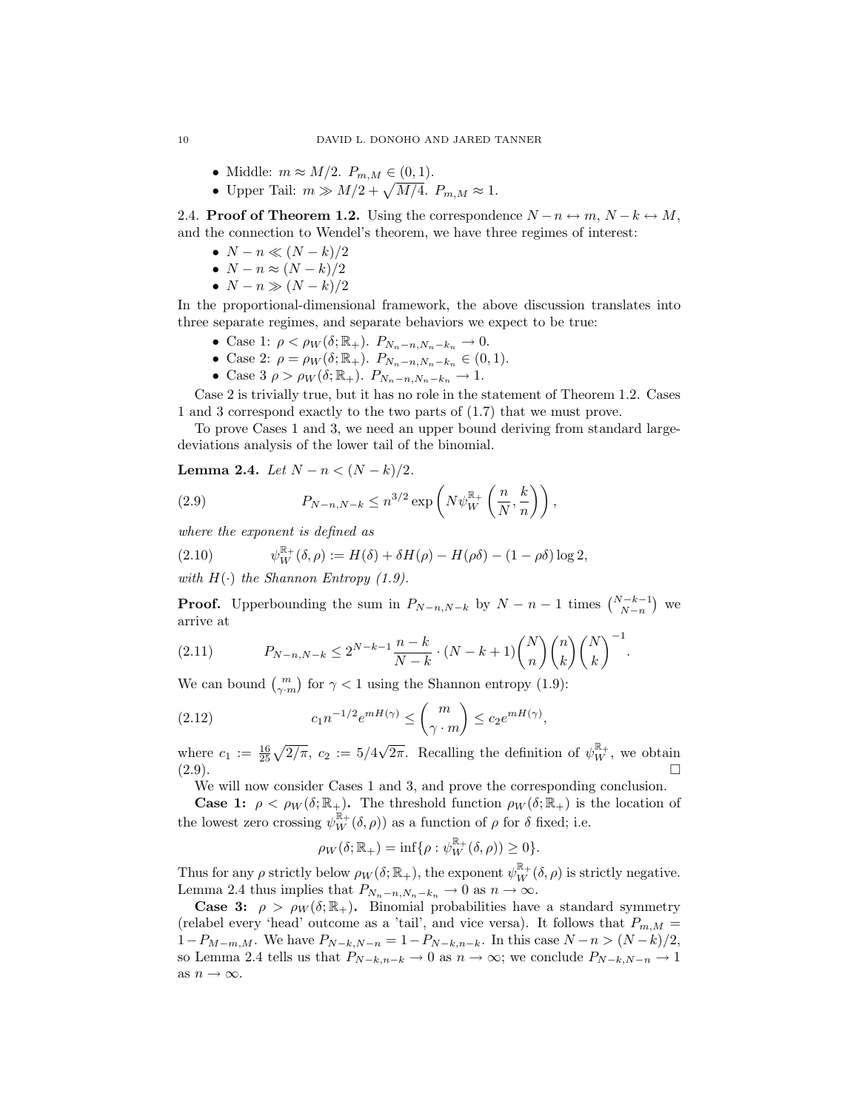- Middle:  $m \approx M/2$ .  $P_{m,M} \in (0,1)$ .
- Upper Tail:  $m \gg M/2 + \sqrt{M/4}$ .  $P_{m,M} \approx 1$ .

2.4. **Proof of Theorem 1.2.** Using the correspondence  $N - n \leftrightarrow m$ ,  $N - k \leftrightarrow M$ , and the connection to Wendel's theorem, we have three regimes of interest:

- $N-n \ll (N-k)/2$
- $N n \approx (N k)/2$
- $N n \gg (N k)/2$

In the proportional-dimensional framework, the above discussion translates into three separate regimes, and separate behaviors we expect to be true:

- Case 1:  $\rho < \rho_W(\delta; \mathbb{R}_+)$ .  $P_{N_n-n,N_n-k_n} \to 0$ .
- Case 2:  $\rho = \rho_W(\delta; \mathbb{R}_+)$ .  $P_{N_n-n, N_n-k_n} \in (0, 1)$ .
- Case  $3 \rho > \rho_W(\delta; \mathbb{R}_+).$   $P_{N_n-n, N_n-k_n} \to 1.$

Case 2 is trivially true, but it has no role in the statement of Theorem 1.2. Cases 1 and 3 correspond exactly to the two parts of (1.7) that we must prove.

To prove Cases 1 and 3, we need an upper bound deriving from standard largedeviations analysis of the lower tail of the binomial.

Lemma 2.4. Let  $N - n < (N - k)/2$ .

(2.9) 
$$
P_{N-n,N-k} \leq n^{3/2} \exp\left(N\psi_W^{\mathbb{R}_+}\left(\frac{n}{N},\frac{k}{n}\right)\right),
$$

where the exponent is defined as

(2.10) 
$$
\psi_W^{\mathbb{R}_+}(\delta,\rho) := H(\delta) + \delta H(\rho) - H(\rho\delta) - (1-\rho\delta)\log 2,
$$

with  $H(\cdot)$  the Shannon Entropy (1.9).

**Proof.** Upperbounding the sum in  $P_{N-n,N-k}$  by  $N-n-1$  times  $\binom{N-k-1}{N-n}$  we arrive at

(2.11) 
$$
P_{N-n,N-k} \le 2^{N-k-1} \frac{n-k}{N-k} \cdot (N-k+1) \binom{N}{n} \binom{n}{k} \binom{N}{k}^{-1}.
$$

We can bound  $\binom{m}{\gamma \cdot m}$  for  $\gamma < 1$  using the Shannon entropy (1.9):

(2.12) 
$$
c_1 n^{-1/2} e^{mH(\gamma)} \leq {m \choose \gamma \cdot m} \leq c_2 e^{mH(\gamma)},
$$

where  $c_1 := \frac{16}{25} \sqrt{2/\pi}, c_2 := 5/4$  $\overline{2\pi}$ . Recalling the definition of  $\psi_W^{\mathbb{R}_+}$ , we obtain  $(2.9)$ .

We will now consider Cases 1 and 3, and prove the corresponding conclusion.

**Case 1:**  $\rho < \rho_W(\delta; \mathbb{R}_+)$ . The threshold function  $\rho_W(\delta; \mathbb{R}_+)$  is the location of the lowest zero crossing  $\psi_W^{\mathbb{R}_+}(\delta,\rho)$  as a function of  $\rho$  for  $\delta$  fixed; i.e.

$$
\rho_W(\delta; \mathbb{R}_+) = \inf \{ \rho : \psi_W^{\mathbb{R}_+}(\delta, \rho) \ge 0 \}.
$$

Thus for any  $\rho$  strictly below  $\rho_W(\delta; \mathbb{R}_+)$ , the exponent  $\psi_W^{\mathbb{R}_+}(\delta, \rho)$  is strictly negative. Lemma 2.4 thus implies that  $P_{N_n-n,N_n-k_n} \to 0$  as  $n \to \infty$ .

**Case 3:**  $\rho > \rho_W(\delta; \mathbb{R}_+)$ . Binomial probabilities have a standard symmetry (relabel every 'head' outcome as a 'tail', and vice versa). It follows that  $P_{m,M}$  =  $1-P_{M-m,M}$ . We have  $P_{N-k,N-n} = 1-P_{N-k,n-k}$ . In this case  $N-n > (N-k)/2$ , so Lemma 2.4 tells us that  $P_{N-k,n-k} \to 0$  as  $n \to \infty$ ; we conclude  $P_{N-k,N-n} \to 1$ as  $n \to \infty$ .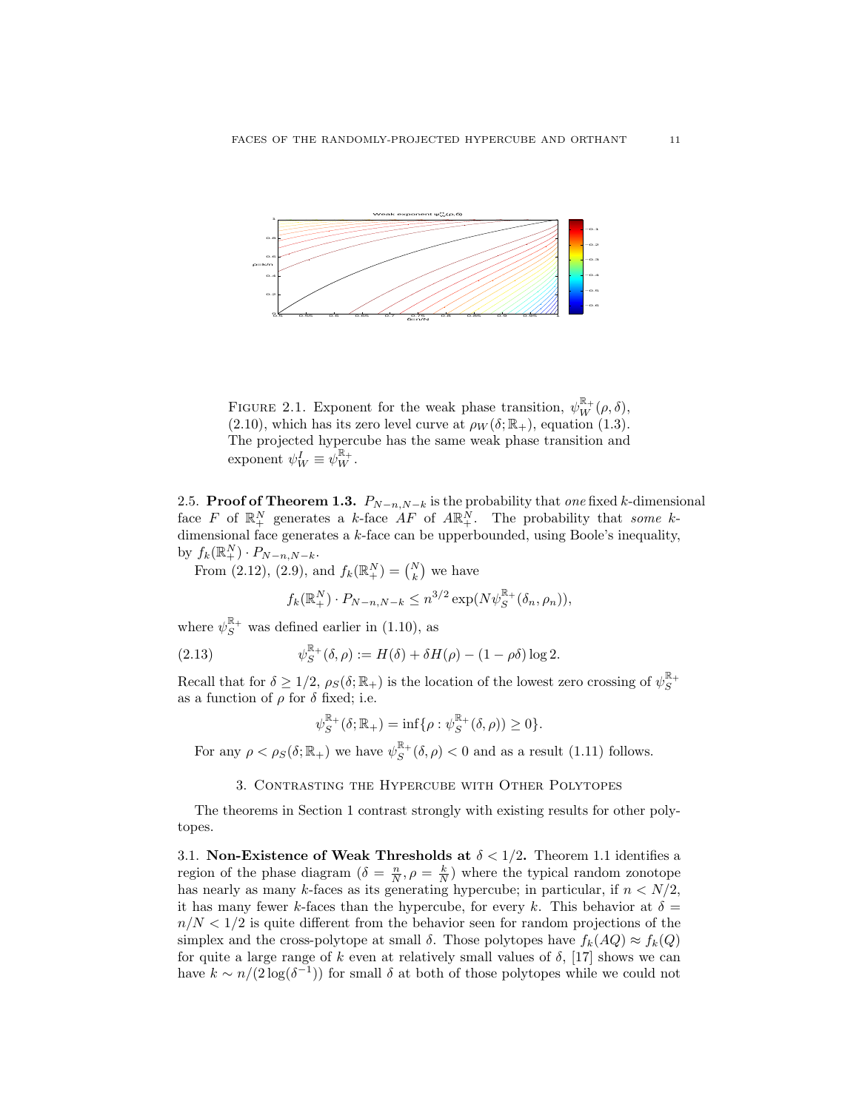

FIGURE 2.1. Exponent for the weak phase transition,  $\psi_W^{\mathbb{R}_+}(\rho,\delta)$ , (2.10), which has its zero level curve at  $\rho_W(\delta; \mathbb{R}_+)$ , equation (1.3). The projected hypercube has the same weak phase transition and exponent  $\psi_W^I \equiv \psi_W^{\mathbb{R}_+}.$ 

2.5. **Proof of Theorem 1.3.**  $P_{N-n,N-k}$  is the probability that one fixed k-dimensional face F of  $\mathbb{R}^N_+$  generates a k-face  $AF$  of  $AR^N_+$ . The probability that some kdimensional face generates a k-face can be upperbounded, using Boole's inequality, by  $f_k(\mathbb{R}^N_+) \cdot P_{N-n,N-k}.$ 

From (2.12), (2.9), and  $f_k(\mathbb{R}^N_+) = {N \choose k}$  we have

$$
f_k(\mathbb{R}_+^N) \cdot P_{N-n,N-k} \le n^{3/2} \exp(N\psi_S^{\mathbb{R}_+}(\delta_n, \rho_n)),
$$

where  $\psi_S^{\mathbb{R}_+}$  was defined earlier in (1.10), as

(2.13) 
$$
\psi_S^{\mathbb{R}_+}(\delta,\rho) := H(\delta) + \delta H(\rho) - (1-\rho\delta)\log 2.
$$

Recall that for  $\delta \geq 1/2$ ,  $\rho_S(\delta; \mathbb{R}_+)$  is the location of the lowest zero crossing of  $\psi_S^{\mathbb{R}_+}$ as a function of  $\rho$  for  $\delta$  fixed; i.e.

$$
\psi_S^{\mathbb{R}_+}(\delta; \mathbb{R}_+) = \inf \{ \rho : \psi_S^{\mathbb{R}_+}(\delta, \rho) \geq 0 \}.
$$

For any  $\rho < \rho_S(\delta; \mathbb{R}_+)$  we have  $\psi_S^{\mathbb{R}_+}(\delta, \rho) < 0$  and as a result (1.11) follows.

## 3. Contrasting the Hypercube with Other Polytopes

The theorems in Section 1 contrast strongly with existing results for other polytopes.

3.1. Non-Existence of Weak Thresholds at  $\delta < 1/2$ . Theorem 1.1 identifies a region of the phase diagram  $(\delta = \frac{n}{N}, \rho = \frac{k}{N})$  where the typical random zonotope has nearly as many k-faces as its generating hypercube; in particular, if  $n < N/2$ , it has many fewer k-faces than the hypercube, for every k. This behavior at  $\delta =$  $n/N < 1/2$  is quite different from the behavior seen for random projections of the simplex and the cross-polytope at small  $\delta$ . Those polytopes have  $f_k(AQ) \approx f_k(Q)$ for quite a large range of k even at relatively small values of  $\delta$ , [17] shows we can have  $k \sim n/(2\log(\delta^{-1}))$  for small  $\delta$  at both of those polytopes while we could not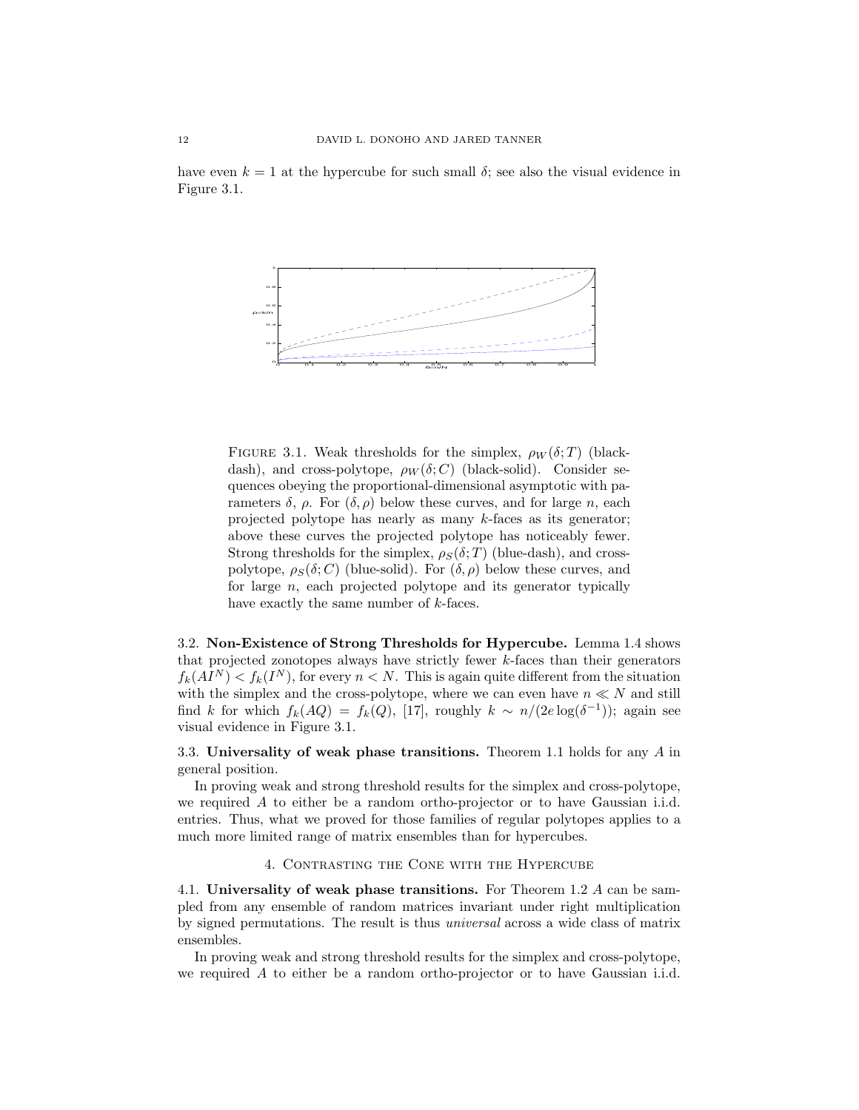have even  $k = 1$  at the hypercube for such small  $\delta$ ; see also the visual evidence in Figure 3.1.



FIGURE 3.1. Weak thresholds for the simplex,  $\rho_W(\delta;T)$  (blackdash), and cross-polytope,  $\rho_W(\delta; C)$  (black-solid). Consider sequences obeying the proportional-dimensional asymptotic with parameters δ, ρ. For  $(δ, ρ)$  below these curves, and for large *n*, each projected polytope has nearly as many k-faces as its generator; above these curves the projected polytope has noticeably fewer. Strong thresholds for the simplex,  $\rho_S(\delta; T)$  (blue-dash), and crosspolytope,  $\rho_S(\delta; C)$  (blue-solid). For  $(\delta, \rho)$  below these curves, and for large  $n$ , each projected polytope and its generator typically have exactly the same number of  $k$ -faces.

3.2. Non-Existence of Strong Thresholds for Hypercube. Lemma 1.4 shows that projected zonotopes always have strictly fewer k-faces than their generators  $f_k(AI^N) < f_k(I^N)$ , for every  $n < N$ . This is again quite different from the situation with the simplex and the cross-polytope, where we can even have  $n \ll N$  and still find k for which  $f_k(AQ) = f_k(Q)$ , [17], roughly  $k \sim n/(2e \log(\delta^{-1}))$ ; again see visual evidence in Figure 3.1.

3.3. Universality of weak phase transitions. Theorem 1.1 holds for any  $A$  in general position.

In proving weak and strong threshold results for the simplex and cross-polytope, we required A to either be a random ortho-projector or to have Gaussian i.i.d. entries. Thus, what we proved for those families of regular polytopes applies to a much more limited range of matrix ensembles than for hypercubes.

#### 4. Contrasting the Cone with the Hypercube

4.1. Universality of weak phase transitions. For Theorem 1.2 A can be sampled from any ensemble of random matrices invariant under right multiplication by signed permutations. The result is thus universal across a wide class of matrix ensembles.

In proving weak and strong threshold results for the simplex and cross-polytope, we required A to either be a random ortho-projector or to have Gaussian i.i.d.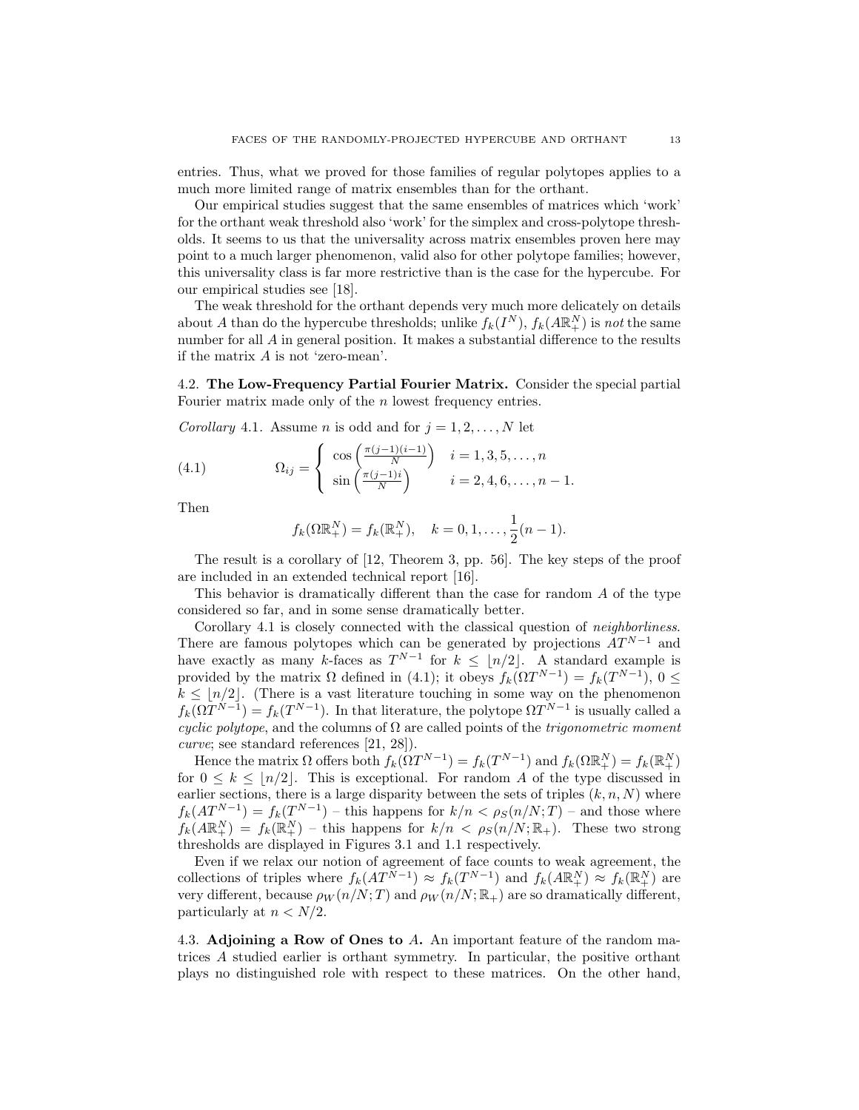entries. Thus, what we proved for those families of regular polytopes applies to a much more limited range of matrix ensembles than for the orthant.

Our empirical studies suggest that the same ensembles of matrices which 'work' for the orthant weak threshold also 'work' for the simplex and cross-polytope thresholds. It seems to us that the universality across matrix ensembles proven here may point to a much larger phenomenon, valid also for other polytope families; however, this universality class is far more restrictive than is the case for the hypercube. For our empirical studies see [18].

The weak threshold for the orthant depends very much more delicately on details about A than do the hypercube thresholds; unlike  $f_k(I^N)$ ,  $f_k(A\mathbb{R}^N_+)$  is not the same number for all A in general position. It makes a substantial difference to the results if the matrix A is not 'zero-mean'.

4.2. The Low-Frequency Partial Fourier Matrix. Consider the special partial Fourier matrix made only of the *n* lowest frequency entries.

Corollary 4.1. Assume *n* is odd and for  $j = 1, 2, ..., N$  let

(4.1) 
$$
\Omega_{ij} = \begin{cases} \cos\left(\frac{\pi(j-1)(i-1)}{N}\right) & i = 1, 3, 5, ..., n \\ \sin\left(\frac{\pi(j-1)i}{N}\right) & i = 2, 4, 6, ..., n-1. \end{cases}
$$

Then

$$
f_k(\Omega \mathbb{R}^N_+) = f_k(\mathbb{R}^N_+), \quad k = 0, 1, \dots, \frac{1}{2}(n-1).
$$

The result is a corollary of [12, Theorem 3, pp. 56]. The key steps of the proof are included in an extended technical report [16].

This behavior is dramatically different than the case for random A of the type considered so far, and in some sense dramatically better.

Corollary 4.1 is closely connected with the classical question of *neighborliness*. There are famous polytopes which can be generated by projections  $AT^{N-1}$  and have exactly as many k-faces as  $T^{N-1}$  for  $k \leq \lfloor n/2 \rfloor$ . A standard example is provided by the matrix  $\Omega$  defined in (4.1); it obeys  $f_k(\Omega T^{N-1}) = f_k(T^{N-1}), 0 \leq$  $k \leq |n/2|$ . (There is a vast literature touching in some way on the phenomenon  $f_k(\Omega T^{N-1}) = f_k(T^{N-1})$ . In that literature, the polytope  $\Omega T^{N-1}$  is usually called a cyclic polytope, and the columns of  $\Omega$  are called points of the trigonometric moment curve; see standard references [21, 28]).

Hence the matrix  $\Omega$  offers both  $f_k(\Omega T^{N-1}) = f_k(T^{N-1})$  and  $f_k(\Omega \mathbb{R}^N_+) = f_k(\mathbb{R}^N_+)$ for  $0 \leq k \leq \lfloor n/2 \rfloor$ . This is exceptional. For random A of the type discussed in earlier sections, there is a large disparity between the sets of triples  $(k, n, N)$  where  $f_k(AT^{N-1}) = f_k(T^{N-1})$  – this happens for  $k/n < \rho_S(n/N;T)$  – and those where  $f_k(A\mathbb{R}^N_+) = f_k(\mathbb{R}^N_+)$  – this happens for  $k/n < \rho_S(n/N; \mathbb{R}_+)$ . These two strong thresholds are displayed in Figures 3.1 and 1.1 respectively.

Even if we relax our notion of agreement of face counts to weak agreement, the collections of triples where  $f_k(AT^{N-1}) \approx f_k(T^{N-1})$  and  $f_k(A\mathbb{R}^N_+) \approx f_k(\mathbb{R}^N_+)$  are very different, because  $\rho_W(n/N;T)$  and  $\rho_W(n/N;\mathbb{R}_+)$  are so dramatically different, particularly at  $n < N/2$ .

4.3. Adjoining a Row of Ones to A. An important feature of the random matrices A studied earlier is orthant symmetry. In particular, the positive orthant plays no distinguished role with respect to these matrices. On the other hand,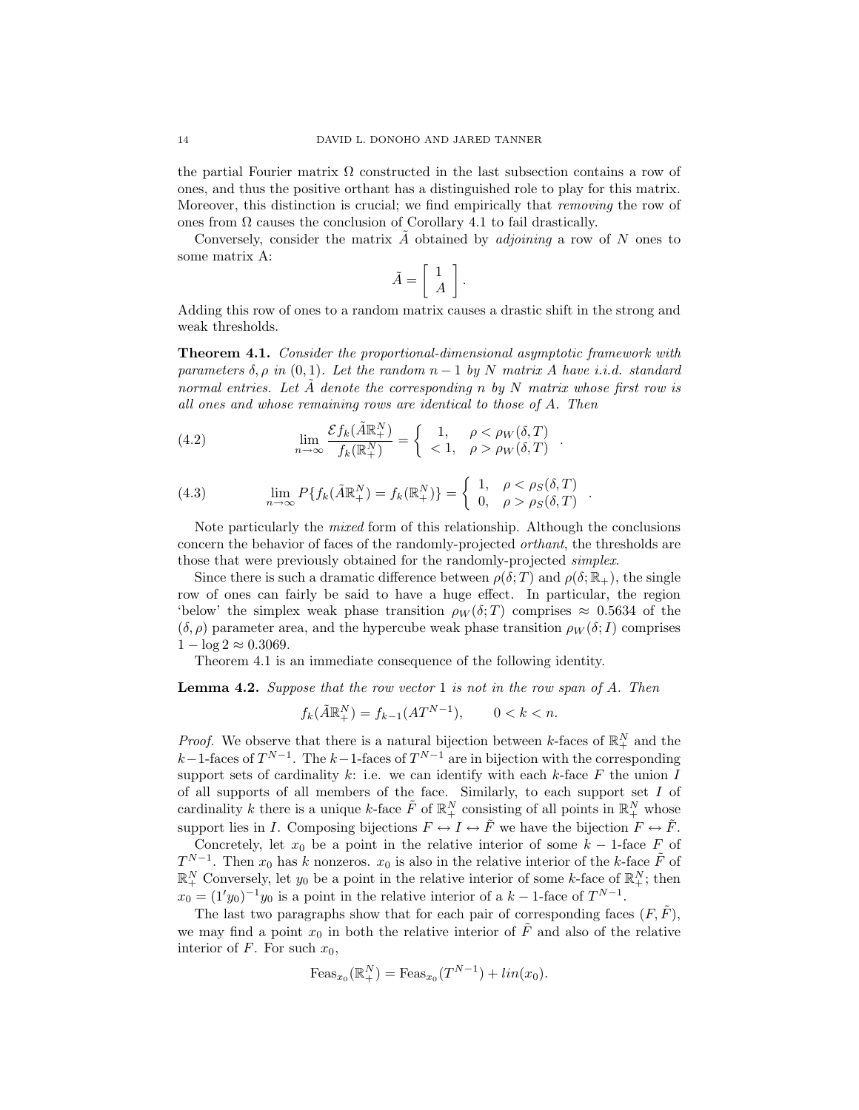the partial Fourier matrix  $\Omega$  constructed in the last subsection contains a row of ones, and thus the positive orthant has a distinguished role to play for this matrix. Moreover, this distinction is crucial; we find empirically that *removing* the row of ones from  $\Omega$  causes the conclusion of Corollary 4.1 to fail drastically.

Conversely, consider the matrix  $A$  obtained by *adjoining* a row of  $N$  ones to some matrix A:

$$
\tilde{A} = \left[ \begin{array}{c} 1 \\ A \end{array} \right].
$$

Adding this row of ones to a random matrix causes a drastic shift in the strong and weak thresholds.

Theorem 4.1. Consider the proportional-dimensional asymptotic framework with parameters  $\delta$ ,  $\rho$  in  $(0, 1)$ . Let the random  $n - 1$  by N matrix A have i.i.d. standard normal entries. Let  $\tilde{A}$  denote the corresponding n by N matrix whose first row is all ones and whose remaining rows are identical to those of A. Then

(4.2) 
$$
\lim_{n \to \infty} \frac{\mathcal{E} f_k(\tilde{A} \mathbb{R}^N_+)}{f_k(\mathbb{R}^N_+)} = \begin{cases} 1, & \rho < \rho_W(\delta, T) \\ < 1, & \rho > \rho_W(\delta, T) \end{cases}.
$$

(4.3) 
$$
\lim_{n \to \infty} P\{f_k(\tilde{A}\mathbb{R}^N_+) = f_k(\mathbb{R}^N_+)\} = \begin{cases} 1, & \rho < \rho_S(\delta, T) \\ 0, & \rho > \rho_S(\delta, T) \end{cases}
$$

Note particularly the mixed form of this relationship. Although the conclusions concern the behavior of faces of the randomly-projected orthant, the thresholds are those that were previously obtained for the randomly-projected simplex.

.

Since there is such a dramatic difference between  $\rho(\delta;T)$  and  $\rho(\delta;\mathbb{R}_+)$ , the single row of ones can fairly be said to have a huge effect. In particular, the region 'below' the simplex weak phase transition  $\rho_W(\delta;T)$  comprises  $\approx 0.5634$  of the  $(\delta, \rho)$  parameter area, and the hypercube weak phase transition  $\rho_W(\delta; I)$  comprises  $1 - \log 2 \approx 0.3069$ .

Theorem 4.1 is an immediate consequence of the following identity.

**Lemma 4.2.** Suppose that the row vector 1 is not in the row span of A. Then

$$
f_k(\tilde{A}\mathbb{R}^N_+) = f_{k-1}(AT^{N-1}), \qquad 0 < k < n.
$$

*Proof.* We observe that there is a natural bijection between k-faces of  $\mathbb{R}^N_+$  and the k–1-faces of  $T^{N-1}$ . The k–1-faces of  $T^{N-1}$  are in bijection with the corresponding support sets of cardinality k: i.e. we can identify with each k-face  $F$  the union  $I$ of all supports of all members of the face. Similarly, to each support set  $I$  of cardinality k there is a unique k-face  $\tilde{F}$  of  $\mathbb{R}^N_+$  consisting of all points in  $\mathbb{R}^N_+$  whose support lies in I. Composing bijections  $F \leftrightarrow I \leftrightarrow \tilde{F}$  we have the bijection  $F \leftrightarrow \tilde{F}$ .

Concretely, let  $x_0$  be a point in the relative interior of some  $k-1$ -face F of  $T^{N-1}$ . Then  $x_0$  has k nonzeros.  $x_0$  is also in the relative interior of the k-face  $\tilde{F}$  of  $\mathbb{R}^N_+$  Conversely, let  $y_0$  be a point in the relative interior of some k-face of  $\mathbb{R}^N_+$ ; then  $x_0 = (1'y_0)^{-1}y_0$  is a point in the relative interior of a  $k-1$ -face of  $T^{N-1}$ .

The last two paragraphs show that for each pair of corresponding faces  $(F, \tilde{F})$ , we may find a point  $x_0$  in both the relative interior of  $\tilde{F}$  and also of the relative interior of  $F$ . For such  $x_0$ ,

$$
F \text{eas}_{x_0}(\mathbb{R}^N_+) = \text{Feas}_{x_0}(T^{N-1}) + \ln(x_0).
$$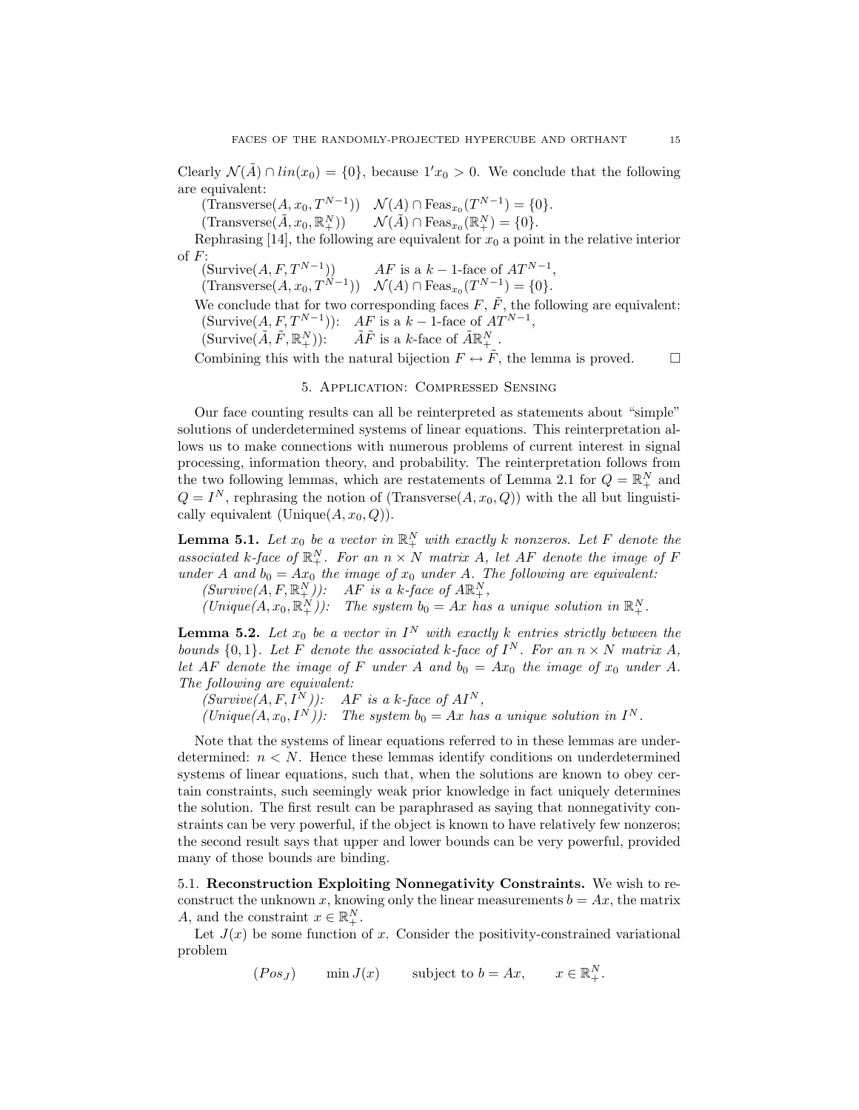Clearly  $\mathcal{N}(A) \cap \text{lin}(x_0) = \{0\}$ , because  $1/x_0 > 0$ . We conclude that the following are equivalent:

 $(\text{Transverse}(A, x_0, T^{N-1})) \quad \mathcal{N}(A) \cap \text{Feas}_{x_0}(T^{N-1}) = \{0\}.$ 

 $(Transverse(\tilde{A}, x_0, \mathbb{R}^N_+)) \qquad \mathcal{N}(\tilde{A}) \cap \mathrm{Feas}_{x_0}(\mathbb{R}^N_+) = \{0\}.$ 

Rephrasing [14], the following are equivalent for  $x_0$  a point in the relative interior of F:

 $(Survive(A, F, T^{N-1}))$  AF is a  $k-1$ -face of  $AT^{N-1}$ ,

 $(\text{Transverse}(A, x_0, T^{N-1})) \quad \mathcal{N}(A) \cap \text{Feas}_{x_0}(T^{N-1}) = \{0\}.$ 

We conclude that for two corresponding faces  $F, \tilde{F}$ , the following are equivalent: (Survive $(A, F, T^{N-1})$ ):  $AF$  is a  $k-1$ -face of  $AT^{N-1}$ ,

(Survive $(\tilde{A}, \tilde{F}, \mathbb{R}^N_+)$ ):  $\tilde{A}\tilde{F}$  is a k-face of  $\tilde{A}\mathbb{R}^N_+$ .

Combining this with the natural bijection  $F \leftrightarrow \tilde{F}$ , the lemma is proved.

### 5. Application: Compressed Sensing

Our face counting results can all be reinterpreted as statements about "simple" solutions of underdetermined systems of linear equations. This reinterpretation allows us to make connections with numerous problems of current interest in signal processing, information theory, and probability. The reinterpretation follows from the two following lemmas, which are restatements of Lemma 2.1 for  $Q = \mathbb{R}^N_+$  and  $Q = I^N$ , rephrasing the notion of (Transverse $(A, x_0, Q)$ ) with the all but linguistically equivalent (Unique $(A, x_0, Q)$ ).

**Lemma 5.1.** Let  $x_0$  be a vector in  $\mathbb{R}^N_+$  with exactly k nonzeros. Let F denote the associated k-face of  $\mathbb{R}^N_+$ . For an  $n \times N$  matrix A, let AF denote the image of F under A and  $b_0 = Ax_0$  the image of  $x_0$  under A. The following are equivalent:

 $(Survive(A, F, \mathbb{R}^N_+))$ : AF is a k-face of  $A\mathbb{R}^N_+$ ,

 $(Unique(A, x_0, \mathbb{R}^N_+))$ : The system  $b_0 = Ax$  has a unique solution in  $\mathbb{R}^N_+$ .

**Lemma 5.2.** Let  $x_0$  be a vector in  $I^N$  with exactly k entries strictly between the bounds  $\{0,1\}$ . Let F denote the associated k-face of  $I^N$ . For an  $n \times N$  matrix A, let AF denote the image of F under A and  $b_0 = Ax_0$  the image of  $x_0$  under A. The following are equivalent:

 $(Survive(A, F, I^N))$ : AF is a k-face of  $AI^N$ ,

 $(Unique(A, x_0, I^N))$ : The system  $b_0 = Ax$  has a unique solution in  $I^N$ .

Note that the systems of linear equations referred to in these lemmas are underdetermined:  $n \leq N$ . Hence these lemmas identify conditions on underdetermined systems of linear equations, such that, when the solutions are known to obey certain constraints, such seemingly weak prior knowledge in fact uniquely determines the solution. The first result can be paraphrased as saying that nonnegativity constraints can be very powerful, if the object is known to have relatively few nonzeros; the second result says that upper and lower bounds can be very powerful, provided many of those bounds are binding.

5.1. Reconstruction Exploiting Nonnegativity Constraints. We wish to reconstruct the unknown x, knowing only the linear measurements  $b = Ax$ , the matrix A, and the constraint  $x \in \mathbb{R}^N_+$ .

Let  $J(x)$  be some function of x. Consider the positivity-constrained variational problem

 $(Pos_J)$  min  $J(x)$  subject to  $b = Ax$ ,  $x \in \mathbb{R}^N_+$ .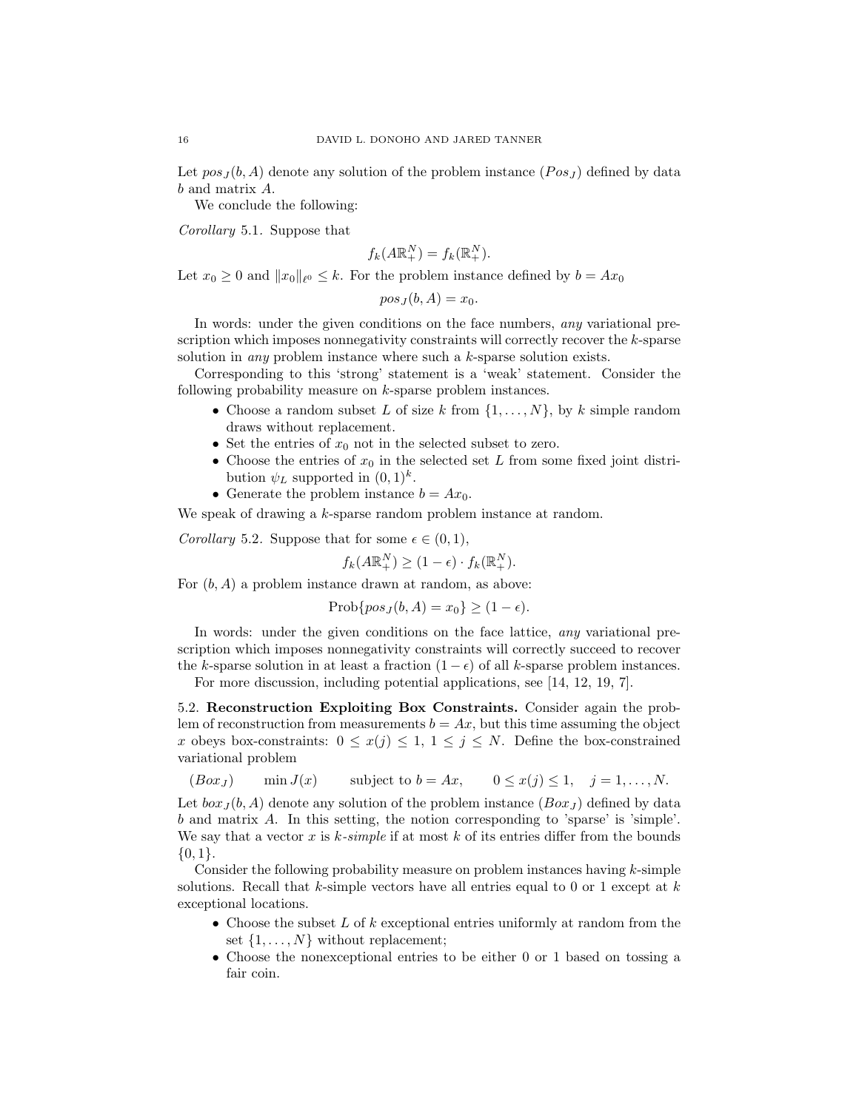Let  $pos_J(b, A)$  denote any solution of the problem instance  $(Pos_J)$  defined by data b and matrix A.

We conclude the following:

Corollary 5.1. Suppose that

$$
f_k(A\mathbb{R}_+^N) = f_k(\mathbb{R}_+^N).
$$

Let  $x_0 \geq 0$  and  $||x_0||_{\ell^0} \leq k$ . For the problem instance defined by  $b = Ax_0$ 

$$
pos_J(b, A) = x_0.
$$

In words: under the given conditions on the face numbers, *any* variational prescription which imposes nonnegativity constraints will correctly recover the k-sparse solution in any problem instance where such a k-sparse solution exists.

Corresponding to this 'strong' statement is a 'weak' statement. Consider the following probability measure on k-sparse problem instances.

- Choose a random subset L of size k from  $\{1, \ldots, N\}$ , by k simple random draws without replacement.
- Set the entries of  $x_0$  not in the selected subset to zero.
- Choose the entries of  $x_0$  in the selected set L from some fixed joint distribution  $\psi_L$  supported in  $(0,1)^k$ .
- Generate the problem instance  $b = Ax_0$ .

We speak of drawing a k-sparse random problem instance at random.

Corollary 5.2. Suppose that for some  $\epsilon \in (0,1)$ ,

$$
f_k(A\mathbb{R}_+^N) \ge (1 - \epsilon) \cdot f_k(\mathbb{R}_+^N).
$$

For  $(b, A)$  a problem instance drawn at random, as above:

$$
Prob\{pos_J(b, A) = x_0\} \ge (1 - \epsilon).
$$

In words: under the given conditions on the face lattice, any variational prescription which imposes nonnegativity constraints will correctly succeed to recover the k-sparse solution in at least a fraction  $(1 - \epsilon)$  of all k-sparse problem instances.

For more discussion, including potential applications, see [14, 12, 19, 7].

5.2. Reconstruction Exploiting Box Constraints. Consider again the problem of reconstruction from measurements  $b = Ax$ , but this time assuming the object x obeys box-constraints:  $0 \leq x(j) \leq 1, 1 \leq j \leq N$ . Define the box-constrained variational problem

 $(Box<sub>J</sub>)$  min  $J(x)$  subject to  $b = Ax$ ,  $0 \le x(j) \le 1$ ,  $j = 1, ..., N$ .

Let  $box_J (b, A)$  denote any solution of the problem instance  $(Box_J)$  defined by data b and matrix A. In this setting, the notion corresponding to 'sparse' is 'simple'. We say that a vector x is  $k$ -simple if at most k of its entries differ from the bounds  ${0,1}.$ 

Consider the following probability measure on problem instances having  $k$ -simple solutions. Recall that  $k$ -simple vectors have all entries equal to 0 or 1 except at  $k$ exceptional locations.

- Choose the subset  $L$  of  $k$  exceptional entries uniformly at random from the set  $\{1, \ldots, N\}$  without replacement;
- Choose the nonexceptional entries to be either 0 or 1 based on tossing a fair coin.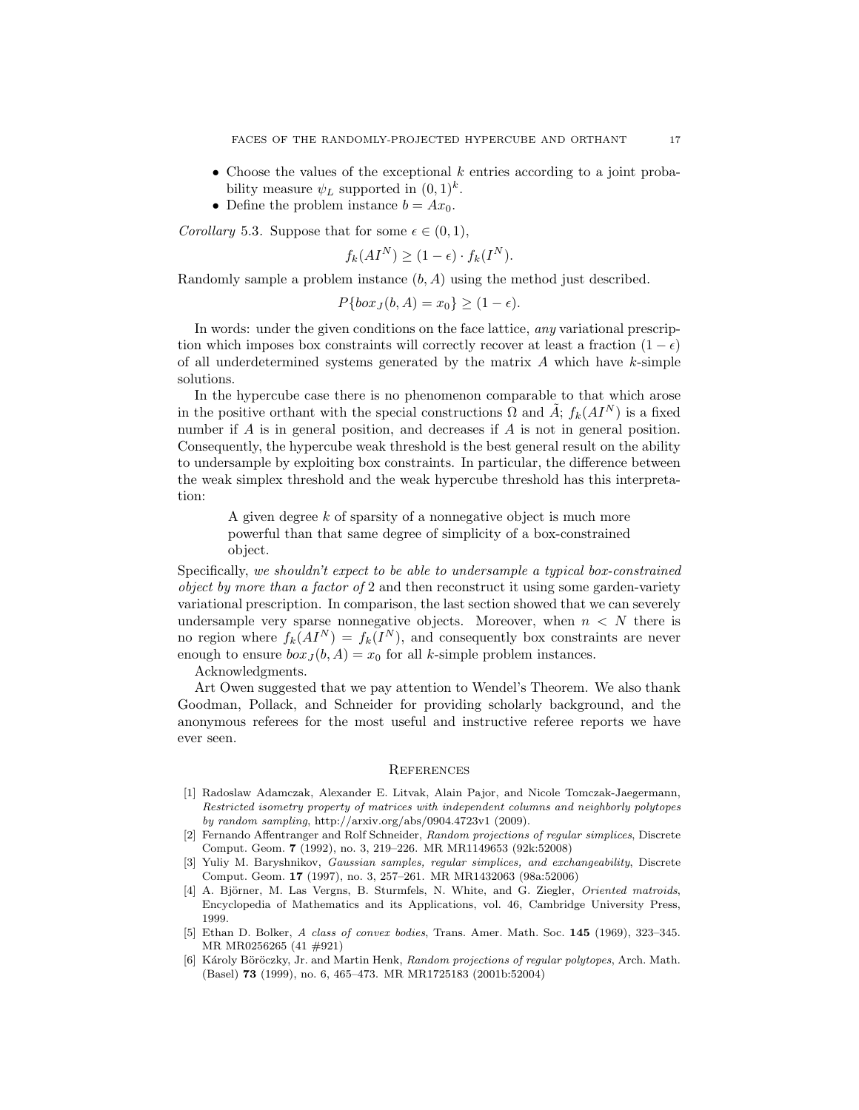- Choose the values of the exceptional  $k$  entries according to a joint probability measure  $\psi_L$  supported in  $(0,1)^k$ .
- Define the problem instance  $b = Ax_0$ .

Corollary 5.3. Suppose that for some  $\epsilon \in (0,1)$ ,

$$
f_k(AI^N) \ge (1 - \epsilon) \cdot f_k(I^N).
$$

Randomly sample a problem instance  $(b, A)$  using the method just described.

$$
P\{box_J(b, A) = x_0\} \ge (1 - \epsilon).
$$

In words: under the given conditions on the face lattice, any variational prescription which imposes box constraints will correctly recover at least a fraction  $(1 - \epsilon)$ of all underdetermined systems generated by the matrix  $A$  which have  $k$ -simple solutions.

In the hypercube case there is no phenomenon comparable to that which arose in the positive orthant with the special constructions  $\Omega$  and  $\tilde{A}$ ;  $f_k(AI^N)$  is a fixed number if A is in general position, and decreases if A is not in general position. Consequently, the hypercube weak threshold is the best general result on the ability to undersample by exploiting box constraints. In particular, the difference between the weak simplex threshold and the weak hypercube threshold has this interpretation:

A given degree k of sparsity of a nonnegative object is much more powerful than that same degree of simplicity of a box-constrained object.

Specifically, we shouldn't expect to be able to undersample a typical box-constrained object by more than a factor of 2 and then reconstruct it using some garden-variety variational prescription. In comparison, the last section showed that we can severely undersample very sparse nonnegative objects. Moreover, when  $n < N$  there is no region where  $f_k(AI^N) = f_k(I^N)$ , and consequently box constraints are never enough to ensure  $box_J (b, A) = x_0$  for all k-simple problem instances.

Acknowledgments.

Art Owen suggested that we pay attention to Wendel's Theorem. We also thank Goodman, Pollack, and Schneider for providing scholarly background, and the anonymous referees for the most useful and instructive referee reports we have ever seen.

### **REFERENCES**

- [1] Radoslaw Adamczak, Alexander E. Litvak, Alain Pajor, and Nicole Tomczak-Jaegermann, Restricted isometry property of matrices with independent columns and neighborly polytopes by random sampling, http://arxiv.org/abs/0904.4723v1 (2009).
- [2] Fernando Affentranger and Rolf Schneider, Random projections of regular simplices, Discrete Comput. Geom. 7 (1992), no. 3, 219–226. MR MR1149653 (92k:52008)
- [3] Yuliy M. Baryshnikov, Gaussian samples, regular simplices, and exchangeability, Discrete Comput. Geom. 17 (1997), no. 3, 257–261. MR MR1432063 (98a:52006)
- [4] A. Björner, M. Las Vergns, B. Sturmfels, N. White, and G. Ziegler, Oriented matroids, Encyclopedia of Mathematics and its Applications, vol. 46, Cambridge University Press, 1999.
- [5] Ethan D. Bolker, A class of convex bodies, Trans. Amer. Math. Soc. 145 (1969), 323–345. MR MR0256265 (41 #921)
- [6] Károly Böröczky, Jr. and Martin Henk, Random projections of regular polytopes, Arch. Math. (Basel) 73 (1999), no. 6, 465–473. MR MR1725183 (2001b:52004)